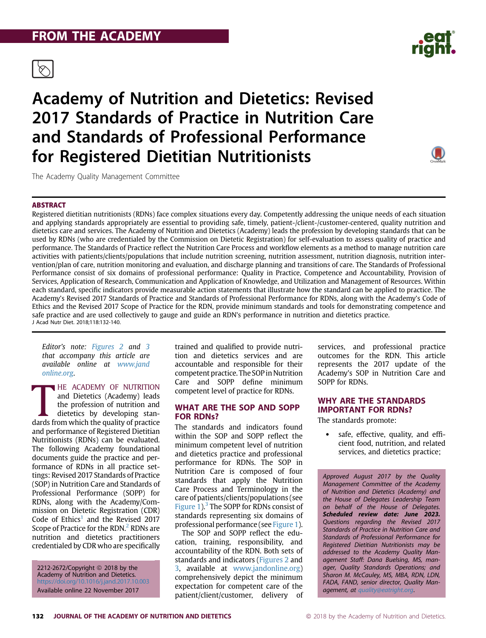

# Academy of Nutrition and Dietetics: Revised 2017 Standards of Practice in Nutrition Care and Standards of Professional Performance for Registered Dietitian Nutritionists

The Academy Quality Management Committee

### ABSTRACT

Registered dietitian nutritionists (RDNs) face complex situations every day. Competently addressing the unique needs of each situation and applying standards appropriately are essential to providing safe, timely, patient-/client-/customer-centered, quality nutrition and dietetics care and services. The Academy of Nutrition and Dietetics (Academy) leads the profession by developing standards that can be used by RDNs (who are credentialed by the Commission on Dietetic Registration) for self-evaluation to assess quality of practice and performance. The Standards of Practice reflect the Nutrition Care Process and workflow elements as a method to manage nutrition care activities with patients/clients/populations that include nutrition screening, nutrition assessment, nutrition diagnosis, nutrition intervention/plan of care, nutrition monitoring and evaluation, and discharge planning and transitions of care. The Standards of Professional Performance consist of six domains of professional performance: Quality in Practice, Competence and Accountability, Provision of Services, Application of Research, Communication and Application of Knowledge, and Utilization and Management of Resources. Within each standard, specific indicators provide measurable action statements that illustrate how the standard can be applied to practice. The Academy's Revised 2017 Standards of Practice and Standards of Professional Performance for RDNs, along with the Academy's Code of Ethics and the Revised 2017 Scope of Practice for the RDN, provide minimum standards and tools for demonstrating competence and safe practice and are used collectively to gauge and guide an RDN's performance in nutrition and dietetics practice. J Acad Nutr Diet. 2018;118:132-140.

Editor's note: Figures 2 and 3 that accompany this article are available online at www.jand online.org.

HE ACADEMY OF NUTRITION<br>
and Dietetics (Academy) leads<br>
the profession of nutrition and<br>
dietetics by developing stan-<br>
dards from which the quality of practice **HE ACADEMY OF NUTRITION** and Dietetics (Academy) leads the profession of nutrition and dietetics by developing stanand performance of Registered Dietitian Nutritionists (RDNs) can be evaluated. The following Academy foundational documents guide the practice and performance of RDNs in all practice settings: Revised 2017 Standards of Practice (SOP) in Nutrition Care and Standards of Professional Performance (SOPP) for RDNs, along with the Academy/Commission on Dietetic Registration (CDR) Code of  $Ethics<sup>1</sup>$  and the Revised 2017 Scope of Practice for the RDN. $<sup>2</sup>$  RDNs are</sup> nutrition and dietetics practitioners credentialed by CDR who are specifically

2212-2672/Copyright © 2018 by the Academy of Nutrition and Dietetics. https://doi.org/10.1016/j.jand.2017.10.003 Available online 22 November 2017

trained and qualified to provide nutrition and dietetics services and are accountable and responsible for their competent practice. The SOP in Nutrition Care and SOPP define minimum competent level of practice for RDNs.

### WHAT ARE THE SOP AND SOPP FOR RDNs?

The standards and indicators found within the SOP and SOPP reflect the minimum competent level of nutrition and dietetics practice and professional performance for RDNs. The SOP in Nutrition Care is composed of four standards that apply the Nutrition Care Process and Terminology in the care of patients/clients/populations (see Figure 1).<sup>3</sup> The SOPP for RDNs consist of standards representing six domains of professional performance (see Figure 1).

The SOP and SOPP reflect the education, training, responsibility, and accountability of the RDN. Both sets of standards and indicators (Figures 2 and 3, available at www.jandonline.org) comprehensively depict the minimum expectation for competent care of the patient/client/customer, delivery of services, and professional practice outcomes for the RDN. This article represents the 2017 update of the Academy's SOP in Nutrition Care and SOPP for RDNs.

### WHY ARE THE STANDARDS IMPORTANT FOR RDNs?

The standards promote:

• safe, effective, quality, and efficient food, nutrition, and related services, and dietetics practice;

Approved August 2017 by the Quality Management Committee of the Academy of Nutrition and Dietetics (Academy) and the House of Delegates Leadership Team on behalf of the House of Delegates. Scheduled review date: June 2023. Questions regarding the Revised 2017 Standards of Practice in Nutrition Care and Standards of Professional Performance for Registered Dietitian Nutritionists may be addressed to the Academy Quality Management Staff: Dana Buelsing, MS, manager, Quality Standards Operations; and Sharon M. McCauley, MS, MBA, RDN, LDN, FADA, FAND, senior director, Quality Management, at quality@eatright.org.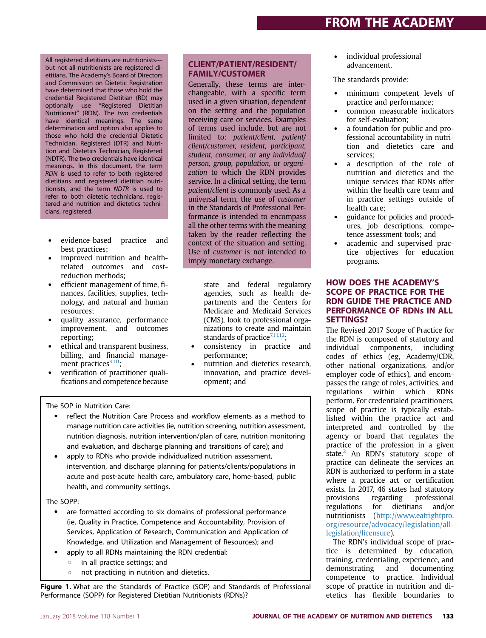All registered dietitians are nutritionists but not all nutritionists are registered dietitians. The Academy's Board of Directors and Commission on Dietetic Registration have determined that those who hold the credential Registered Dietitian (RD) may optionally use "Registered Dietitian Nutritionist" (RDN). The two credentials have identical meanings. The same determination and option also applies to those who hold the credential Dietetic Technician, Registered (DTR) and Nutrition and Dietetics Technician, Registered (NDTR). The two credentials have identical meanings. In this document, the term RDN is used to refer to both registered dietitians and registered dietitian nutritionists, and the term NDTR is used to refer to both dietetic technicians, registered and nutrition and dietetics technicians, registered.

- evidence-based practice and best practices;
- improved nutrition and healthrelated outcomes and costreduction methods;
- efficient management of time, finances, facilities, supplies, technology, and natural and human resources;
- quality assurance, performance improvement, and outcomes reporting;
- ethical and transparent business, billing, and financial management practices $9,10$ :
- verification of practitioner qualifications and competence because

### CLIENT/PATIENT/RESIDENT/ FAMILY/CUSTOMER

Generally, these terms are interchangeable, with a specific term used in a given situation, dependent on the setting and the population receiving care or services. Examples of terms used include, but are not limited to: patient/client, patient/ client/customer, resident, participant, student, consumer, or any individual/ person, group, population, or organization to which the RDN provides service. In a clinical setting, the term patient/client is commonly used. As a universal term, the use of customer in the Standards of Professional Performance is intended to encompass all the other terms with the meaning taken by the reader reflecting the context of the situation and setting. Use of customer is not intended to imply monetary exchange.

> state and federal regulatory agencies, such as health departments and the Centers for Medicare and Medicaid Services (CMS), look to professional organizations to create and maintain standards of practice<sup>7,11,12</sup>;

- consistency in practice and performance;
- nutrition and dietetics research, innovation, and practice development; and

The SOP in Nutrition Care:

- reflect the Nutrition Care Process and workflow elements as a method to manage nutrition care activities (ie, nutrition screening, nutrition assessment, nutrition diagnosis, nutrition intervention/plan of care, nutrition monitoring and evaluation, and discharge planning and transitions of care); and
- apply to RDNs who provide individualized nutrition assessment, intervention, and discharge planning for patients/clients/populations in acute and post-acute health care, ambulatory care, home-based, public health, and community settings.

The SOPP:

- are formatted according to six domains of professional performance (ie, Quality in Practice, Competence and Accountability, Provision of Services, Application of Research, Communication and Application of Knowledge, and Utilization and Management of Resources); and
- apply to all RDNs maintaining the RDN credential:
	- $\circ$  in all practice settings; and
	- $\circ$  not practicing in nutrition and dietetics.

Figure 1. What are the Standards of Practice (SOP) and Standards of Professional Performance (SOPP) for Registered Dietitian Nutritionists (RDNs)?

• individual professional advancement.

The standards provide:

- minimum competent levels of practice and performance;
- common measurable indicators for self-evaluation;
- a foundation for public and professional accountability in nutrition and dietetics care and services;
- a description of the role of nutrition and dietetics and the unique services that RDNs offer within the health care team and in practice settings outside of health care;
- guidance for policies and procedures, job descriptions, competence assessment tools; and
- academic and supervised practice objectives for education programs.

### HOW DOES THE ACADEMY'S SCOPE OF PRACTICE FOR THE RDN GUIDE THE PRACTICE AND PERFORMANCE OF RDNs IN ALL SETTINGS?

The Revised 2017 Scope of Practice for the RDN is composed of statutory and individual components, including codes of ethics (eg, Academy/CDR, other national organizations, and/or employer code of ethics), and encompasses the range of roles, activities, and regulations within which RDNs perform. For credentialed practitioners, scope of practice is typically established within the practice act and interpreted and controlled by the agency or board that regulates the practice of the profession in a given state.<sup>2</sup> An RDN's statutory scope of practice can delineate the services an RDN is authorized to perform in a state where a practice act or certification exists. In 2017, 46 states had statutory provisions regarding professional regulations for dietitians and/or nutritionists (http://www.eatrightpro. org/resource/advocacy/legislation/alllegislation/licensure).

The RDN's individual scope of practice is determined by education, training, credentialing, experience, and demonstrating and documenting competence to practice. Individual scope of practice in nutrition and dietetics has flexible boundaries to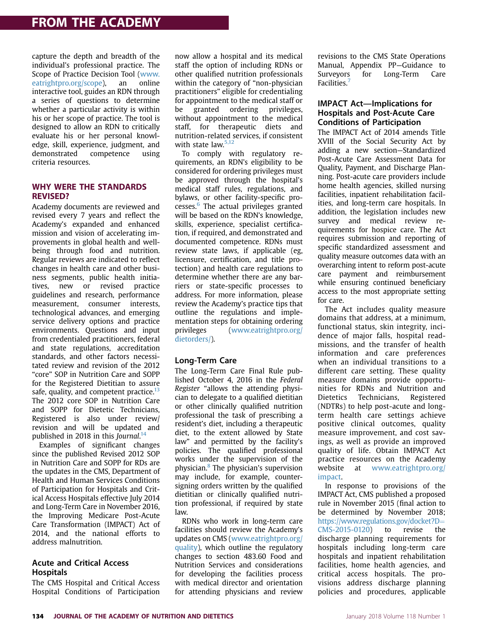capture the depth and breadth of the individual's professional practice. The Scope of Practice Decision Tool (www. eatrightpro.org/scope), an online interactive tool, guides an RDN through a series of questions to determine whether a particular activity is within his or her scope of practice. The tool is designed to allow an RDN to critically evaluate his or her personal knowledge, skill, experience, judgment, and demonstrated competence using criteria resources.

### WHY WERE THE STANDARDS REVISED?

Academy documents are reviewed and revised every 7 years and reflect the Academy's expanded and enhanced mission and vision of accelerating improvements in global health and wellbeing through food and nutrition. Regular reviews are indicated to reflect changes in health care and other business segments, public health initiatives, new or revised practice guidelines and research, performance measurement, consumer interests, technological advances, and emerging service delivery options and practice environments. Questions and input from credentialed practitioners, federal and state regulations, accreditation standards, and other factors necessitated review and revision of the 2012 "core" SOP in Nutrition Care and SOPP for the Registered Dietitian to assure safe, quality, and competent practice.<sup>13</sup> The 2012 core SOP in Nutrition Care and SOPP for Dietetic Technicians, Registered is also under review/ revision and will be updated and published in 2018 in this Journal.<sup>14</sup>

Examples of significant changes since the published Revised 2012 SOP in Nutrition Care and SOPP for RDs are the updates in the CMS, Department of Health and Human Services Conditions of Participation for Hospitals and Critical Access Hospitals effective July 2014 and Long-Term Care in November 2016, the Improving Medicare Post-Acute Care Transformation (IMPACT) Act of 2014, and the national efforts to address malnutrition.

### Acute and Critical Access **Hospitals**

The CMS Hospital and Critical Access Hospital Conditions of Participation now allow a hospital and its medical staff the option of including RDNs or other qualified nutrition professionals within the category of "non-physician practitioners" eligible for credentialing for appointment to the medical staff or be granted ordering privileges, without appointment to the medical staff, for therapeutic diets and nutrition-related services, if consistent with state law. $5,12$ 

To comply with regulatory requirements, an RDN's eligibility to be considered for ordering privileges must be approved through the hospital's medical staff rules, regulations, and bylaws, or other facility-specific pro $c$ esses. $6$  The actual privileges granted will be based on the RDN's knowledge, skills, experience, specialist certification, if required, and demonstrated and documented competence. RDNs must review state laws, if applicable (eg, licensure, certification, and title protection) and health care regulations to determine whether there are any barriers or state-specific processes to address. For more information, please review the Academy's practice tips that outline the regulations and implementation steps for obtaining ordering privileges (www.eatrightpro.org/ dietorders/).

### Long-Term Care

The Long-Term Care Final Rule published October 4, 2016 in the Federal Register "allows the attending physician to delegate to a qualified dietitian or other clinically qualified nutrition professional the task of prescribing a resident's diet, including a therapeutic diet, to the extent allowed by State law" and permitted by the facility's policies. The qualified professional works under the supervision of the physician.8 The physician's supervision may include, for example, countersigning orders written by the qualified dietitian or clinically qualified nutrition professional, if required by state law.

RDNs who work in long-term care facilities should review the Academy's updates on CMS (www.eatrightpro.org/ quality), which outline the regulatory changes to section 483.60 Food and Nutrition Services and considerations for developing the facilities process with medical director and orientation for attending physicians and review revisions to the CMS State Operations Manual, Appendix PP—Guidance to Surveyors for Long-Term Care Facilities.<sup>7</sup>

### IMPACT Act—Implications for Hospitals and Post-Acute Care Conditions of Participation

The IMPACT Act of 2014 amends Title XVIII of the Social Security Act by adding a new section—Standardized Post-Acute Care Assessment Data for Quality, Payment, and Discharge Planning. Post-acute care providers include home health agencies, skilled nursing facilities, inpatient rehabilitation facilities, and long-term care hospitals. In addition, the legislation includes new survey and medical review requirements for hospice care. The Act requires submission and reporting of specific standardized assessment and quality measure outcomes data with an overarching intent to reform post-acute care payment and reimbursement while ensuring continued beneficiary access to the most appropriate setting for care.

The Act includes quality measure domains that address, at a minimum, functional status, skin integrity, incidence of major falls, hospital readmissions, and the transfer of health information and care preferences when an individual transitions to a different care setting. These quality measure domains provide opportunities for RDNs and Nutrition and Dietetics Technicians, Registered (NDTRs) to help post-acute and longterm health care settings achieve positive clinical outcomes, quality measure improvement, and cost savings, as well as provide an improved quality of life. Obtain IMPACT Act practice resources on the Academy website at www.eatrightpro.org/ impact.

In response to provisions of the IMPACT Act, CMS published a proposed rule in November 2015 (final action to be determined by November 2018; https://www.regulations.gov/docket?D=<br>CMS-2015-0120) to revise the  $CMS-2015-0120$ discharge planning requirements for hospitals including long-term care hospitals and inpatient rehabilitation facilities, home health agencies, and critical access hospitals. The provisions address discharge planning policies and procedures, applicable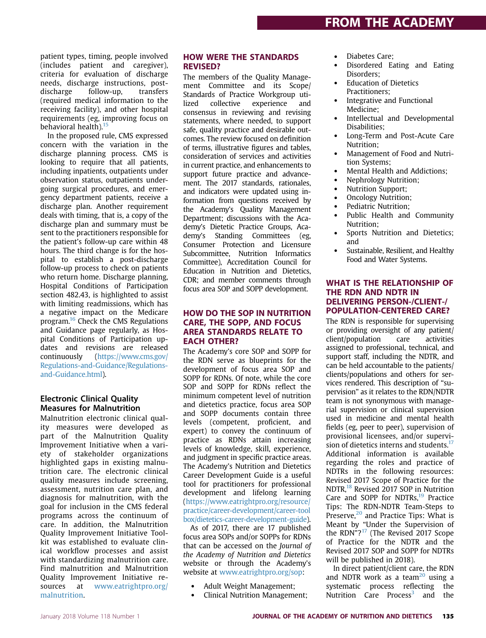patient types, timing, people involved (includes patient and caregiver), criteria for evaluation of discharge needs, discharge instructions, postdischarge follow-up, transfers (required medical information to the receiving facility), and other hospital requirements (eg, improving focus on behavioral health).<sup>15</sup>

In the proposed rule, CMS expressed concern with the variation in the discharge planning process. CMS is looking to require that all patients, including inpatients, outpatients under observation status, outpatients undergoing surgical procedures, and emergency department patients, receive a discharge plan. Another requirement deals with timing, that is, a copy of the discharge plan and summary must be sent to the practitioners responsible for the patient's follow-up care within 48 hours. The third change is for the hospital to establish a post-discharge follow-up process to check on patients who return home. Discharge planning, Hospital Conditions of Participation section 482.43, is highlighted to assist with limiting readmissions, which has a negative impact on the Medicare program.16 Check the CMS Regulations and Guidance page regularly, as Hospital Conditions of Participation updates and revisions are released continuously (https://www.cms.gov/ Regulations-and-Guidance/Regulationsand-Guidance.html).

### Electronic Clinical Quality Measures for Malnutrition

Malnutrition electronic clinical quality measures were developed as part of the Malnutrition Quality Improvement Initiative when a variety of stakeholder organizations highlighted gaps in existing malnutrition care. The electronic clinical quality measures include screening, assessment, nutrition care plan, and diagnosis for malnutrition, with the goal for inclusion in the CMS federal programs across the continuum of care. In addition, the Malnutrition Quality Improvement Initiative Toolkit was established to evaluate clinical workflow processes and assist with standardizing malnutrition care. Find malnutrition and Malnutrition Quality Improvement Initiative resources at www.eatrightpro.org/ malnutrition.

### HOW WERE THE STANDARDS REVISED?

The members of the Quality Management Committee and its Scope/ Standards of Practice Workgroup utilized collective experience and consensus in reviewing and revising statements, where needed, to support safe, quality practice and desirable outcomes. The review focused on definition of terms, illustrative figures and tables, consideration of services and activities in current practice, and enhancements to support future practice and advancement. The 2017 standards, rationales, and indicators were updated using information from questions received by the Academy's Quality Management Department; discussions with the Academy's Dietetic Practice Groups, Academy's Standing Committees (eg, Consumer Protection and Licensure Subcommittee, Nutrition Informatics Committee), Accreditation Council for Education in Nutrition and Dietetics, CDR; and member comments through focus area SOP and SOPP development.

### HOW DO THE SOP IN NUTRITION CARE, THE SOPP, AND FOCUS AREA STANDARDS RELATE TO EACH OTHER?

The Academy's core SOP and SOPP for the RDN serve as blueprints for the development of focus area SOP and SOPP for RDNs. Of note, while the core SOP and SOPP for RDNs reflect the minimum competent level of nutrition and dietetics practice, focus area SOP and SOPP documents contain three levels (competent, proficient, and expert) to convey the continuum of practice as RDNs attain increasing levels of knowledge, skill, experience, and judgment in specific practice areas. The Academy's Nutrition and Dietetics Career Development Guide is a useful tool for practitioners for professional development and lifelong learning (https://www.eatrightpro.org/resource/ practice/career-development/career-tool box/dietetics-career-development-guide).

As of 2017, there are 17 published focus area SOPs and/or SOPPs for RDNs that can be accessed on the Journal of the Academy of Nutrition and Dietetics website or through the Academy's website at www.eatrightpro.org/sop:

- Adult Weight Management;
- Clinical Nutrition Management;
- Diabetes Care:
- Disordered Eating and Eating Disorders;
- Education of Dietetics Practitioners;
- Integrative and Functional Medicine;
- Intellectual and Developmental Disabilities;
- Long-Term and Post-Acute Care Nutrition;
- Management of Food and Nutrition Systems;
- Mental Health and Addictions;
- Nephrology Nutrition;
- Nutrition Support;
- Oncology Nutrition;
- Pediatric Nutrition;
- Public Health and Community Nutrition;
- Sports Nutrition and Dietetics; and
- Sustainable, Resilient, and Healthy Food and Water Systems.

### WHAT IS THE RELATIONSHIP OF THE RDN AND NDTR IN DELIVERING PERSON-/CLIENT-/ POPULATION-CENTERED CARE?

The RDN is responsible for supervising or providing oversight of any patient/ client/population care activities assigned to professional, technical, and support staff, including the NDTR, and can be held accountable to the patients/ clients/populations and others for services rendered. This description of "supervision" as it relates to the RDN/NDTR team is not synonymous with managerial supervision or clinical supervision used in medicine and mental health fields (eg, peer to peer), supervision of provisional licensees, and/or supervision of dietetics interns and students. $17$ Additional information is available regarding the roles and practice of NDTRs in the following resources: Revised 2017 Scope of Practice for the NDTR,18 Revised 2017 SOP in Nutrition Care and SOPP for NDTRs,<sup>19</sup> Practice Tips: The RDN-NDTR Team-Steps to Preserve, $20$  and Practice Tips: What is Meant by "Under the Supervision of the RDN"?<sup>17</sup> (The Revised 2017 Scope of Practice for the NDTR and the Revised 2017 SOP and SOPP for NDTRs will be published in 2018).

In direct patient/client care, the RDN and NDTR work as a team $^{20}$  using a systematic process reflecting the Nutrition  $Care$  Process<sup>3</sup> and the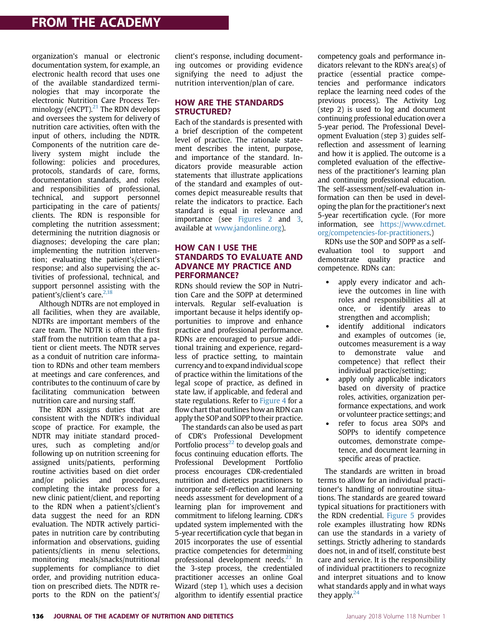organization's manual or electronic documentation system, for example, an electronic health record that uses one of the available standardized terminologies that may incorporate the electronic Nutrition Care Process Terminology (eNCPT). $^{21}$  The RDN develops and oversees the system for delivery of nutrition care activities, often with the input of others, including the NDTR. Components of the nutrition care delivery system might include the following: policies and procedures, protocols, standards of care, forms, documentation standards, and roles and responsibilities of professional, technical, and support personnel participating in the care of patients/ clients. The RDN is responsible for completing the nutrition assessment; determining the nutrition diagnosis or diagnoses; developing the care plan; implementing the nutrition intervention; evaluating the patient's/client's response; and also supervising the activities of professional, technical, and support personnel assisting with the patient's/client's care.<sup>2,18</sup>

Although NDTRs are not employed in all facilities, when they are available, NDTRs are important members of the care team. The NDTR is often the first staff from the nutrition team that a patient or client meets. The NDTR serves as a conduit of nutrition care information to RDNs and other team members at meetings and care conferences, and contributes to the continuum of care by facilitating communication between nutrition care and nursing staff.

The RDN assigns duties that are consistent with the NDTR's individual scope of practice. For example, the NDTR may initiate standard procedures, such as completing and/or following up on nutrition screening for assigned units/patients, performing routine activities based on diet order and/or policies and procedures, completing the intake process for a new clinic patient/client, and reporting to the RDN when a patient's/client's data suggest the need for an RDN evaluation. The NDTR actively participates in nutrition care by contributing information and observations, guiding patients/clients in menu selections, monitoring meals/snacks/nutritional supplements for compliance to diet order, and providing nutrition education on prescribed diets. The NDTR reports to the RDN on the patient's/

client's response, including documenting outcomes or providing evidence signifying the need to adjust the nutrition intervention/plan of care.

### HOW ARE THE STANDARDS STRUCTURED?

Each of the standards is presented with a brief description of the competent level of practice. The rationale statement describes the intent, purpose, and importance of the standard. Indicators provide measurable action statements that illustrate applications of the standard and examples of outcomes depict measureable results that relate the indicators to practice. Each standard is equal in relevance and importance (see Figures 2 and 3, available at www.jandonline.org).

### HOW CAN I USE THE STANDARDS TO EVALUATE AND ADVANCE MY PRACTICE AND PERFORMANCE?

RDNs should review the SOP in Nutrition Care and the SOPP at determined intervals. Regular self-evaluation is important because it helps identify opportunities to improve and enhance practice and professional performance. RDNs are encouraged to pursue additional training and experience, regardless of practice setting, to maintain currency and to expand individual scope of practice within the limitations of the legal scope of practice, as defined in state law, if applicable, and federal and state regulations. Refer to Figure 4 for a flow chart that outlines how an RDN can apply the SOP and SOPP to their practice.

The standards can also be used as part of CDR's Professional Development Portfolio process $^{22}$  to develop goals and focus continuing education efforts. The Professional Development Portfolio process encourages CDR-credentialed nutrition and dietetics practitioners to incorporate self-reflection and learning needs assessment for development of a learning plan for improvement and commitment to lifelong learning. CDR's updated system implemented with the 5-year recertification cycle that began in 2015 incorporates the use of essential practice competencies for determining professional development needs.<sup>23</sup> In the 3-step process, the credentialed practitioner accesses an online Goal Wizard (step 1), which uses a decision algorithm to identify essential practice competency goals and performance indicators relevant to the RDN's area(s) of practice (essential practice competencies and performance indicators replace the learning need codes of the previous process). The Activity Log (step 2) is used to log and document continuing professional education over a 5-year period. The Professional Development Evaluation (step 3) guides selfreflection and assessment of learning and how it is applied. The outcome is a completed evaluation of the effectiveness of the practitioner's learning plan and continuing professional education. The self-assessment/self-evaluation information can then be used in developing the plan for the practitioner's next 5-year recertification cycle. (For more information, see https://www.cdrnet. org/competencies-for-practitioners.)

RDNs use the SOP and SOPP as a selfevaluation tool to support and demonstrate quality practice and competence. RDNs can:

- apply every indicator and achieve the outcomes in line with roles and responsibilities all at once, or identify areas to strengthen and accomplish;
- identify additional indicators and examples of outcomes (ie, outcomes measurement is a way to demonstrate value and competence) that reflect their individual practice/setting;
- apply only applicable indicators based on diversity of practice roles, activities, organization performance expectations, and work or volunteer practice settings; and
- refer to focus area SOPs and SOPPs to identify competence outcomes, demonstrate competence, and document learning in specific areas of practice.

The standards are written in broad terms to allow for an individual practitioner's handling of nonroutine situations. The standards are geared toward typical situations for practitioners with the RDN credential. Figure 5 provides role examples illustrating how RDNs can use the standards in a variety of settings. Strictly adhering to standards does not, in and of itself, constitute best care and service. It is the responsibility of individual practitioners to recognize and interpret situations and to know what standards apply and in what ways they apply. $24$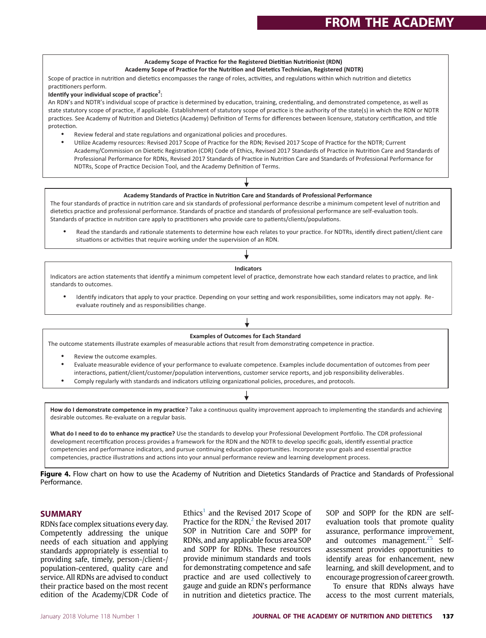#### Academy Scope of Practice for the Registered Dietitian Nutritionist (RDN) Academy Scope of Practice for the Nutrition and Dietetics Technician, Registered (NDTR)

Scope of practice in nutrition and dietetics encompasses the range of roles, activities, and regulations within which nutrition and dietetics practitioners perform.

### Identify your individual scope of practice<sup>2</sup>:

An RDN's and NDTR's individual scope of practice is determined by education, training, credentialing, and demonstrated competence, as well as state statutory scope of practice, if applicable. Establishment of statutory scope of practice is the authority of the state(s) in which the RDN or NDTR practices. See Academy of Nutrition and Dietetics (Academy) Definition of Terms for differences between licensure, statutory certification, and title protection.

- ection.<br>• Review federal and state regulations and organizational policies and procedures.
- Active witeur and state regulations and organizational polities and procedures.<br>• Utilize Academy resources: Revised 2017 Scope of Practice for the RDN; Revised 2017 Scope of Practice for the NDTR; Current Academy/Commission on Dietetic Registration (CDR) Code of Ethics, Revised 2017 Standards of Practice in Nutrition Care and Standards of Professional Performance for RDNs, Revised 2017 Standards of Practice in Nutrition Care and Standards of Professional Performance for NDTRs, Scope of Practice Decision Tool, and the Academy Definition of Terms.

### Academy Standards of Practice in Nutrition Care and Standards of Professional Performance

The four standards of practice in nutrition care and six standards of professional performance describe a minimum competent level of nutrition and dietetics practice and professional performance. Standards of practice and standards of professional performance are self-evaluation tools. Standards of practice in nutrition care apply to practitioners who provide care to patients/clients/populations.

enties to ward the standards and rationale statements to determine how each relates to your practice. For NDTRs, identify direct patient/client care situations or activities that require working under the supervision of an RDN.

### **Indicators**

Indicators are action statements that identify a minimum competent level of practice, demonstrate how each standard relates to practice, and link standards to outcomes.

• Identify indicators that apply to your practice. Depending on your setting and work responsibilities, some indicators may not apply. Reevaluate routinely and as responsibilities change.

### **Examples of Outcomes for Each Standard**

The outcome statements illustrate examples of measurable actions that result from demonstrating competence in practice.

- Review the outcome examples.
- In seview the outcome examples.<br>• Ivaluate measurable evidence of your performance to evaluate competence. Examples include documentation of outcomes from peer interactions, patient/client/customer/population interventions, customer service reports, and job responsibility deliverables.
- Comply regularly with standards and indicators u-lizing organiza-onal policies, procedures, and protocols.

How do I demonstrate competence in my practice? Take a continuous quality improvement approach to implementing the standards and achieving desirable outcomes. Re-evaluate on a regular basis.

What do I need to do to enhance my practice? Use the standards to develop your Professional Development Portfolio. The CDR professional development recertification process provides a framework for the RDN and the NDTR to develop specific goals, identify essential practice competencies and performance indicators, and pursue continuing education opportunities. Incorporate your goals and essential practice competencies, practice illustrations and actions into your annual performance review and learning development process.

Figure 4. Flow chart on how to use the Academy of Nutrition and Dietetics Standards of Practice and Standards of Professional Performance.

### **SUMMARY**

RDNs face complex situations every day. Competently addressing the unique needs of each situation and applying standards appropriately is essential to providing safe, timely, person-/client-/ population-centered, quality care and service. All RDNs are advised to conduct their practice based on the most recent edition of the Academy/CDR Code of Ethics<sup>1</sup> and the Revised 2017 Scope of Practice for the RDN, $<sup>2</sup>$  the Revised 2017</sup> SOP in Nutrition Care and SOPP for RDNs, and any applicable focus area SOP and SOPP for RDNs. These resources provide minimum standards and tools for demonstrating competence and safe practice and are used collectively to gauge and guide an RDN's performance in nutrition and dietetics practice. The

SOP and SOPP for the RDN are selfevaluation tools that promote quality assurance, performance improvement, and outcomes management. $^{25}$  Selfassessment provides opportunities to identify areas for enhancement, new learning, and skill development, and to encourage progression of career growth.

To ensure that RDNs always have access to the most current materials,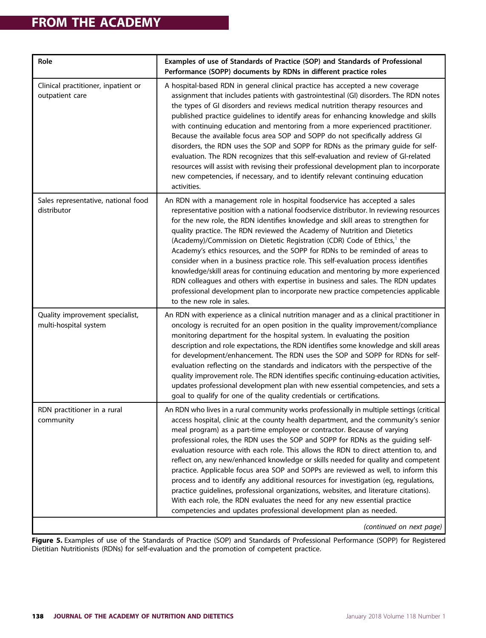| Role                                                     | Examples of use of Standards of Practice (SOP) and Standards of Professional<br>Performance (SOPP) documents by RDNs in different practice roles                                                                                                                                                                                                                                                                                                                                                                                                                                                                                                                                                                                                                                                                                                                                                                                                    |
|----------------------------------------------------------|-----------------------------------------------------------------------------------------------------------------------------------------------------------------------------------------------------------------------------------------------------------------------------------------------------------------------------------------------------------------------------------------------------------------------------------------------------------------------------------------------------------------------------------------------------------------------------------------------------------------------------------------------------------------------------------------------------------------------------------------------------------------------------------------------------------------------------------------------------------------------------------------------------------------------------------------------------|
| Clinical practitioner, inpatient or<br>outpatient care   | A hospital-based RDN in general clinical practice has accepted a new coverage<br>assignment that includes patients with gastrointestinal (GI) disorders. The RDN notes<br>the types of GI disorders and reviews medical nutrition therapy resources and<br>published practice guidelines to identify areas for enhancing knowledge and skills<br>with continuing education and mentoring from a more experienced practitioner.<br>Because the available focus area SOP and SOPP do not specifically address GI<br>disorders, the RDN uses the SOP and SOPP for RDNs as the primary guide for self-<br>evaluation. The RDN recognizes that this self-evaluation and review of GI-related<br>resources will assist with revising their professional development plan to incorporate<br>new competencies, if necessary, and to identify relevant continuing education<br>activities.                                                                   |
| Sales representative, national food<br>distributor       | An RDN with a management role in hospital foodservice has accepted a sales<br>representative position with a national foodservice distributor. In reviewing resources<br>for the new role, the RDN identifies knowledge and skill areas to strengthen for<br>quality practice. The RDN reviewed the Academy of Nutrition and Dietetics<br>(Academy)/Commission on Dietetic Registration (CDR) Code of Ethics, <sup>1</sup> the<br>Academy's ethics resources, and the SOPP for RDNs to be reminded of areas to<br>consider when in a business practice role. This self-evaluation process identifies<br>knowledge/skill areas for continuing education and mentoring by more experienced<br>RDN colleagues and others with expertise in business and sales. The RDN updates<br>professional development plan to incorporate new practice competencies applicable<br>to the new role in sales.                                                       |
| Quality improvement specialist,<br>multi-hospital system | An RDN with experience as a clinical nutrition manager and as a clinical practitioner in<br>oncology is recruited for an open position in the quality improvement/compliance<br>monitoring department for the hospital system. In evaluating the position<br>description and role expectations, the RDN identifies some knowledge and skill areas<br>for development/enhancement. The RDN uses the SOP and SOPP for RDNs for self-<br>evaluation reflecting on the standards and indicators with the perspective of the<br>quality improvement role. The RDN identifies specific continuing-education activities,<br>updates professional development plan with new essential competencies, and sets a<br>goal to qualify for one of the quality credentials or certifications.                                                                                                                                                                     |
| RDN practitioner in a rural<br>community                 | An RDN who lives in a rural community works professionally in multiple settings (critical<br>access hospital, clinic at the county health department, and the community's senior<br>meal program) as a part-time employee or contractor. Because of varying<br>professional roles, the RDN uses the SOP and SOPP for RDNs as the guiding self-<br>evaluation resource with each role. This allows the RDN to direct attention to, and<br>reflect on, any new/enhanced knowledge or skills needed for quality and competent<br>practice. Applicable focus area SOP and SOPPs are reviewed as well, to inform this<br>process and to identify any additional resources for investigation (eg, regulations,<br>practice guidelines, professional organizations, websites, and literature citations).<br>With each role, the RDN evaluates the need for any new essential practice<br>competencies and updates professional development plan as needed. |
|                                                          | (continued on next page)                                                                                                                                                                                                                                                                                                                                                                                                                                                                                                                                                                                                                                                                                                                                                                                                                                                                                                                            |

Figure 5. Examples of use of the Standards of Practice (SOP) and Standards of Professional Performance (SOPP) for Registered Dietitian Nutritionists (RDNs) for self-evaluation and the promotion of competent practice.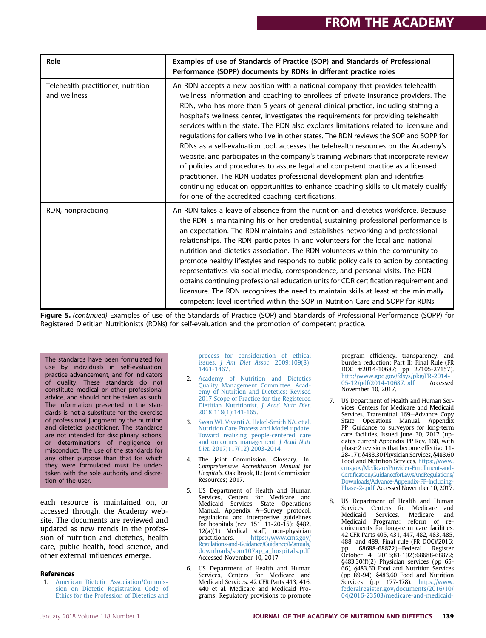| Role                                               | Examples of use of Standards of Practice (SOP) and Standards of Professional<br>Performance (SOPP) documents by RDNs in different practice roles                                                                                                                                                                                                                                                                                                                                                                                                                                                                                                                                                                                                                                                                                                                                                                                                                                                                               |
|----------------------------------------------------|--------------------------------------------------------------------------------------------------------------------------------------------------------------------------------------------------------------------------------------------------------------------------------------------------------------------------------------------------------------------------------------------------------------------------------------------------------------------------------------------------------------------------------------------------------------------------------------------------------------------------------------------------------------------------------------------------------------------------------------------------------------------------------------------------------------------------------------------------------------------------------------------------------------------------------------------------------------------------------------------------------------------------------|
| Telehealth practitioner, nutrition<br>and wellness | An RDN accepts a new position with a national company that provides telehealth<br>wellness information and coaching to enrollees of private insurance providers. The<br>RDN, who has more than 5 years of general clinical practice, including staffing a<br>hospital's wellness center, investigates the requirements for providing telehealth<br>services within the state. The RDN also explores limitations related to licensure and<br>regulations for callers who live in other states. The RDN reviews the SOP and SOPP for<br>RDNs as a self-evaluation tool, accesses the telehealth resources on the Academy's<br>website, and participates in the company's training webinars that incorporate review<br>of policies and procedures to assure legal and competent practice as a licensed<br>practitioner. The RDN updates professional development plan and identifies<br>continuing education opportunities to enhance coaching skills to ultimately qualify<br>for one of the accredited coaching certifications. |
| RDN, nonpracticing                                 | An RDN takes a leave of absence from the nutrition and dietetics workforce. Because<br>the RDN is maintaining his or her credential, sustaining professional performance is<br>an expectation. The RDN maintains and establishes networking and professional<br>relationships. The RDN participates in and volunteers for the local and national<br>nutrition and dietetics association. The RDN volunteers within the community to<br>promote healthy lifestyles and responds to public policy calls to action by contacting<br>representatives via social media, correspondence, and personal visits. The RDN<br>obtains continuing professional education units for CDR certification requirement and<br>licensure. The RDN recognizes the need to maintain skills at least at the minimally<br>competent level identified within the SOP in Nutrition Care and SOPP for RDNs.                                                                                                                                              |

Figure 5. (continued) Examples of use of the Standards of Practice (SOP) and Standards of Professional Performance (SOPP) for Registered Dietitian Nutritionists (RDNs) for self-evaluation and the promotion of competent practice.

The standards have been formulated for use by individuals in self-evaluation, practice advancement, and for indicators of quality. These standards do not constitute medical or other professional advice, and should not be taken as such. The information presented in the standards is not a substitute for the exercise of professional judgment by the nutrition and dietetics practitioner. The standards are not intended for disciplinary actions, or determinations of negligence or misconduct. The use of the standards for any other purpose than that for which they were formulated must be undertaken with the sole authority and discretion of the user.

each resource is maintained on, or accessed through, the Academy website. The documents are reviewed and updated as new trends in the profession of nutrition and dietetics, health care, public health, food science, and other external influences emerge.

#### References

1. American Dietetic Association/Commission on Dietetic Registration Code of Ethics for the Profession of Dietetics and

process for consideration of ethical issues. J Am Diet Assoc. 2009;109(8): 1461-1467.

- 2. Academy of Nutrition and Dietetics Quality Management Committee. Academy of Nutrition and Dietetics: Revised 2017 Scope of Practice for the Registered Dietitian Nutritionist. J Acad Nutr Diet. 2018;118(1):141-165.
- 3. Swan WI, Vivanti A, Hakel-Smith NA, et al. Nutrition Care Process and Model update: Toward realizing people-centered care and outcomes management. J Acad Nutr Diet. 2017;117(12):2003-2014.
- 4. The Joint Commission. Glossary. In: Comprehensive Accreditation Manual for Hospitals. Oak Brook, IL: Joint Commission Resources; 2017.
- 5. US Department of Health and Human Services, Centers for Medicare and Medicaid Services. State Operations Manual. Appendix A—Survey protocol, regulations and interpretive guidelines for hospitals (rev. 151, 11-20-15); §482.  $12(a)(1)$  Medical staff, non-physician practitioners.<br> $https://www.cms.gov/$ https://www.cms.gov/ Regulations-and-Guidance/Guidance/Manuals/ downloads/som107ap\_a\_hospitals.pdf. Accessed November 10, 2017.
- 6. US Department of Health and Human Services, Centers for Medicare and Medicaid Services. 42 CFR Parts 413, 416, 440 et al. Medicare and Medicaid Programs; Regulatory provisions to promote

program efficiency, transparency, and burden reduction; Part II; Final Rule (FR DOC #2014-10687; pp 27105-27157). http://www.gpo.gov/fdsys/pkg/FR-2014-<br>05-12/ndf/2014-10687.ndf Accessed  $05-12$ /pdf/2014-10687.pdf. November 10, 2017.

- 7. US Department of Health and Human Services, Centers for Medicare and Medicaid Services. Transmittal 169—Advance Copy State Operations Manual. Appendix PP-Guidance to surveyors for long-term care facilities. Issued June 30, 2017 (updates current Appendix PP Rev. 168, with phase 2 revisions that become effective 11- 28-17); §483.30 Physician Services, §483.60 Food and Nutrition Services. https://www. cms.gov/Medicare/Provider-Enrollment-and-Certification/GuidanceforLawsAndRegulations/ Downloads/Advance-Appendix-PP-Including-Phase-2-.pdf. Accessed November 10, 2017.
- 8. US Department of Health and Human Services, Centers for Medicare and Medicaid Services. Medicare and Medicaid Programs; reform of requirements for long-term care facilities. 42 CFR Parts 405, 431, 447, 482, 483, 485, 488, and 489. Final rule (FR DOC#2016; pp 68688-68872)—Federal Register October 4, 2016;81(192):68688-68872; §483.30(f)(2) Physician services (pp 65- 66), §483.60 Food and Nutrition Services (pp 89-94), §483.60 Food and Nutrition Services (pp 177-178). https://www. federalregister.gov/documents/2016/10/ 04/2016-23503/medicare-and-medicaid-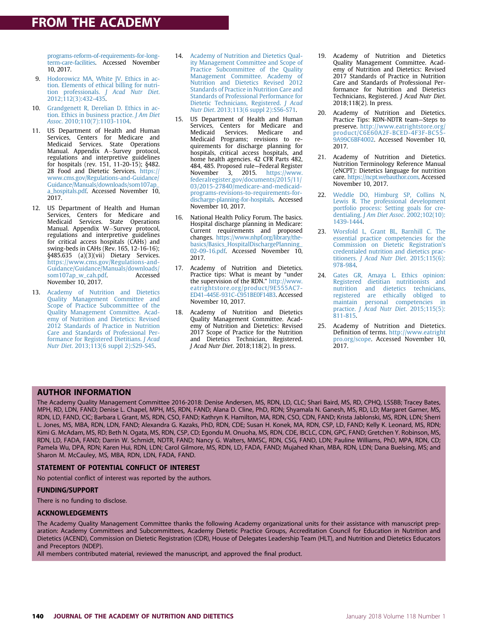programs-reform-of-requirements-for-longterm-care-facilities. Accessed November 10, 2017.

- 9. Hodorowicz MA, White JV. Ethics in action. Elements of ethical billing for nutrition professionals. J Acad Nutr Diet. 2012;112(3):432-435.
- 10. Grandgenett R, Derelian D. Ethics in action. Ethics in business practice. J Am Diet Assoc. 2010;110(7):1103-1104.
- 11. US Department of Health and Human Services, Centers for Medicare and Medicaid Services. State Operations Manual. Appendix A-Survey protocol, regulations and interpretive guidelines for hospitals (rev. 151, 11-20-15); §482. 28 Food and Dietetic Services. https:// www.cms.gov/Regulations-and-Guidance/ Guidance/Manuals/downloads/som107ap\_ a\_hospitals.pdf. Accessed November 10, 2017.
- 12. US Department of Health and Human Services, Centers for Medicare and Medicaid Services. State Operations<br>Manual Appendix W—Survey protocol, regulations and interpretive guidelines for critical access hospitals (CAHs) and swing-beds in CAHs (Rev. 165, 12-16-16); §485.635 (a)(3)(vii) Dietary Services. https://www.cms.gov/Regulations-and-Guidance/Guidance/Manuals/downloads/ som107ap\_w\_cah.pdf. Accessed November 10, 2017.
- 13. Academy of Nutrition and Dietetics Quality Management Committee and Scope of Practice Subcommittee of the Quality Management Committee. Academy of Nutrition and Dietetics: Revised 2012 Standards of Practice in Nutrition Care and Standards of Professional Performance for Registered Dietitians. J Acad Nutr Diet. 2013;113(6 suppl 2):S29-S45.
- 14. Academy of Nutrition and Dietetics Quality Management Committee and Scope of Practice Subcommittee of the Quality Management Committee. Academy of Nutrition and Dietetics Revised 2012 Standards of Practice in Nutrition Care and Standards of Professional Performance for Dietetic Technicians, Registered. J Acad Nutr Diet. 2013;113(6 suppl 2):S56-S71.
- 15. US Department of Health and Human Services, Centers for Medicare and Medicaid Services. Medicare and Medicaid Programs; revisions to requirements for discharge planning for hospitals, critical access hospitals, and home health agencies. 42 CFR Parts 482, 484, 485. Proposed rule—Federal Register November 3, 2015. https://www. federalregister.gov/documents/2015/11/ 03/2015-27840/medicare-and-medicaidprograms-revisions-to-requirements-fordischarge-planning-for-hospitals. Accessed November 10, 2017.
- 16. National Health Policy Forum. The basics. Hospital discharge planning in Medicare: Current requirements and proposed changes. https://www.nhpf.org/library/thebasics/Basics\_HospitalDischargePlanning\_ 02-09-16.pdf. Accessed November 10, 2017.
- 17. Academy of Nutrition and Dietetics. Practice tips: What is meant by "under the supervision of the RDN." http://www. eatrightstore.org/product/9E555AC7- ED41-445E-931C-C951BE0F14B3. Accessed November 10, 2017.
- 18. Academy of Nutrition and Dietetics Quality Management Committee. Acad-emy of Nutrition and Dietetics: Revised 2017 Scope of Practice for the Nutrition and Dietetics Technician, Registered. J Acad Nutr Diet. 2018;118(2). In press.
- 19. Academy of Nutrition and Dietetics Quality Management Committee. Academy of Nutrition and Dietetics: Revised 2017 Standards of Practice in Nutrition Care and Standards of Professional Performance for Nutrition and Dietetics Technicians, Registered. J Acad Nutr Diet. 2018;118(2). In press.
- 20. Academy of Nutrition and Dietetics. Practice Tips: RDN-NDTR team—Steps to preserve. http://www.eatrightstore.org/ product/C6E60A2F-BCED-4F3F-BC55- 9A99C6BF4002. Accessed November 10, 2017.
- 21. Academy of Nutrition and Dietetics. Nutrition Terminology Reference Manual (eNCPT): Dietetics language for nutrition care. https://ncpt.webauthor.com. Accessed November 10, 2017.
- 22. Weddle DO, Himburg SP, Collins N, Lewis R. The professional development portfolio process: Setting goals for cre-dentialing. J Am Diet Assoc. 2002;102(10): 1439-1444.
- 23. Worsfold L, Grant BL, Barnhill C. The essential practice competencies for the Commission on Dietetic Registration's credentialed nutrition and dietetics practitioners. J Acad Nutr Diet. 2015;115(6): 978-984.
- 24. Gates GR, Amaya L. Ethics opinion: Registered dietitian nutritionists and nutrition and dietetics technicians, registered are ethically obliged to<br>maintain personal competencies in maintain personal competencies in practice. J Acad Nutr Diet. 2015;115(5): 811-815.
- 25. Academy of Nutrition and Dietetics. Definition of terms. http://www.eatright pro.org/scope. Accessed November 10, 2017.

### AUTHOR INFORMATION

The Academy Quality Management Committee 2016-2018: Denise Andersen, MS, RDN, LD, CLC; Shari Baird, MS, RD, CPHQ, LSSBB; Tracey Bates, MPH, RD, LDN, FAND; Denise L. Chapel, MPH, MS, RDN, FAND; Alana D. Cline, PhD, RDN; Shyamala N. Ganesh, MS, RD, LD; Margaret Garner, MS, RDN, LD, FAND, CIC; Barbara L Grant, MS, RDN, CSO, FAND; Kathryn K. Hamilton, MA, RDN, CSO, CDN, FAND; Krista Jablonski, MS, RDN, LDN; Sherri L. Jones, MS, MBA, RDN, LDN, FAND; Alexandra G. Kazaks, PhD, RDN, CDE; Susan H. Konek, MA, RDN, CSP, LD, FAND; Kelly K. Leonard, MS, RDN; Kimi G. McAdam, MS, RD; Beth N. Ogata, MS, RDN, CSP, CD; Egondu M. Onuoha, MS, RDN, CDE, IBCLC, CDN, GPC, FAND; Gretchen Y. Robinson, MS, RDN, LD, FADA, FAND; Darrin W. Schmidt, NDTR, FAND; Nancy G. Walters, MMSC, RDN, CSG, FAND, LDN; Pauline Williams, PhD, MPA, RDN, CD; Pamela Wu, DPA, RDN; Karen Hui, RDN, LDN; Carol Gilmore, MS, RDN, LD, FADA, FAND; Mujahed Khan, MBA, RDN, LDN; Dana Buelsing, MS; and Sharon M. McCauley, MS, MBA, RDN, LDN, FADA, FAND.

### STATEMENT OF POTENTIAL CONFLICT OF INTEREST

No potential conflict of interest was reported by the authors.

#### FUNDING/SUPPORT

There is no funding to disclose.

#### ACKNOWLEDGEMENTS

The Academy Quality Management Committee thanks the following Academy organizational units for their assistance with manuscript preparation: Academy Committees and Subcommittees, Academy Dietetic Practice Groups, Accreditation Council for Education in Nutrition and Dietetics (ACEND), Commission on Dietetic Registration (CDR), House of Delegates Leadership Team (HLT), and Nutrition and Dietetics Educators and Preceptors (NDEP).

All members contributed material, reviewed the manuscript, and approved the final product.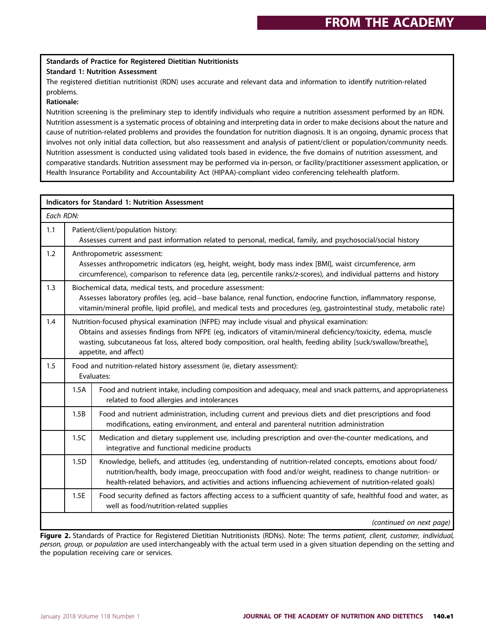### Standards of Practice for Registered Dietitian Nutritionists

### Standard 1: Nutrition Assessment

The registered dietitian nutritionist (RDN) uses accurate and relevant data and information to identify nutrition-related problems.

### Rationale:

Nutrition screening is the preliminary step to identify individuals who require a nutrition assessment performed by an RDN. Nutrition assessment is a systematic process of obtaining and interpreting data in order to make decisions about the nature and cause of nutrition-related problems and provides the foundation for nutrition diagnosis. It is an ongoing, dynamic process that involves not only initial data collection, but also reassessment and analysis of patient/client or population/community needs. Nutrition assessment is conducted using validated tools based in evidence, the five domains of nutrition assessment, and comparative standards. Nutrition assessment may be performed via in-person, or facility/practitioner assessment application, or Health Insurance Portability and Accountability Act (HIPAA)-compliant video conferencing telehealth platform.

|           |                                                                                                                                                                                                                                                                                                                                                        | <b>Indicators for Standard 1: Nutrition Assessment</b>                                                                                                                                                                                                                                                                         |  |
|-----------|--------------------------------------------------------------------------------------------------------------------------------------------------------------------------------------------------------------------------------------------------------------------------------------------------------------------------------------------------------|--------------------------------------------------------------------------------------------------------------------------------------------------------------------------------------------------------------------------------------------------------------------------------------------------------------------------------|--|
| Each RDN: |                                                                                                                                                                                                                                                                                                                                                        |                                                                                                                                                                                                                                                                                                                                |  |
| 1.1       | Patient/client/population history:<br>Assesses current and past information related to personal, medical, family, and psychosocial/social history                                                                                                                                                                                                      |                                                                                                                                                                                                                                                                                                                                |  |
| 1.2       |                                                                                                                                                                                                                                                                                                                                                        | Anthropometric assessment:<br>Assesses anthropometric indicators (eg, height, weight, body mass index [BMI], waist circumference, arm<br>circumference), comparison to reference data (eg, percentile ranks/z-scores), and individual patterns and history                                                                     |  |
| 1.3       |                                                                                                                                                                                                                                                                                                                                                        | Biochemical data, medical tests, and procedure assessment:<br>Assesses laboratory profiles (eg, acid-base balance, renal function, endocrine function, inflammatory response,<br>vitamin/mineral profile, lipid profile), and medical tests and procedures (eg, gastrointestinal study, metabolic rate)                        |  |
| 1.4       | Nutrition-focused physical examination (NFPE) may include visual and physical examination:<br>Obtains and assesses findings from NFPE (eg, indicators of vitamin/mineral deficiency/toxicity, edema, muscle<br>wasting, subcutaneous fat loss, altered body composition, oral health, feeding ability [suck/swallow/breathe],<br>appetite, and affect) |                                                                                                                                                                                                                                                                                                                                |  |
| 1.5       | Food and nutrition-related history assessment (ie, dietary assessment):<br>Evaluates:                                                                                                                                                                                                                                                                  |                                                                                                                                                                                                                                                                                                                                |  |
|           | 1.5A                                                                                                                                                                                                                                                                                                                                                   | Food and nutrient intake, including composition and adequacy, meal and snack patterns, and appropriateness<br>related to food allergies and intolerances                                                                                                                                                                       |  |
|           | 1.5B                                                                                                                                                                                                                                                                                                                                                   | Food and nutrient administration, including current and previous diets and diet prescriptions and food<br>modifications, eating environment, and enteral and parenteral nutrition administration                                                                                                                               |  |
|           | 1.5C                                                                                                                                                                                                                                                                                                                                                   | Medication and dietary supplement use, including prescription and over-the-counter medications, and<br>integrative and functional medicine products                                                                                                                                                                            |  |
|           | 1.5D                                                                                                                                                                                                                                                                                                                                                   | Knowledge, beliefs, and attitudes (eg, understanding of nutrition-related concepts, emotions about food/<br>nutrition/health, body image, preoccupation with food and/or weight, readiness to change nutrition- or<br>health-related behaviors, and activities and actions influencing achievement of nutrition-related goals) |  |
|           | 1.5E                                                                                                                                                                                                                                                                                                                                                   | Food security defined as factors affecting access to a sufficient quantity of safe, healthful food and water, as<br>well as food/nutrition-related supplies                                                                                                                                                                    |  |
|           |                                                                                                                                                                                                                                                                                                                                                        | (continued on next page)                                                                                                                                                                                                                                                                                                       |  |
|           |                                                                                                                                                                                                                                                                                                                                                        | 3. Changlands of Ducation fou Domintoural Distition Nutritionists (DDNa), Note: The tourse motiont, direct customery<br>المستلمان بالمستان                                                                                                                                                                                     |  |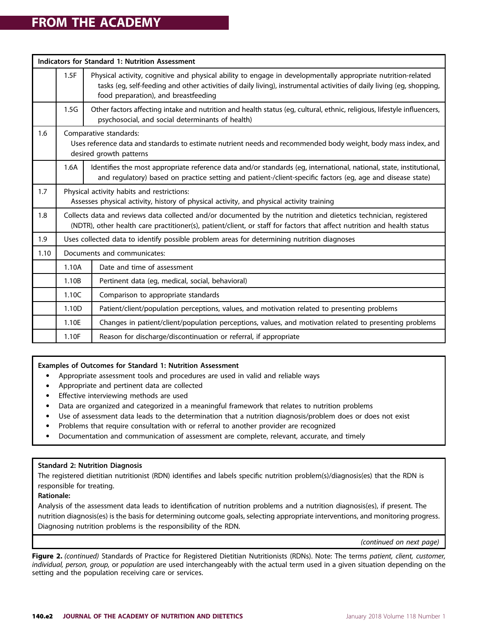|      |                                                                                                                                                                                                                                                                                       | Indicators for Standard 1: Nutrition Assessment                                                                                                                                                                                   |  |
|------|---------------------------------------------------------------------------------------------------------------------------------------------------------------------------------------------------------------------------------------------------------------------------------------|-----------------------------------------------------------------------------------------------------------------------------------------------------------------------------------------------------------------------------------|--|
|      | 1.5F<br>Physical activity, cognitive and physical ability to engage in developmentally appropriate nutrition-related<br>tasks (eg, self-feeding and other activities of daily living), instrumental activities of daily living (eg, shopping,<br>food preparation), and breastfeeding |                                                                                                                                                                                                                                   |  |
|      | 1.5G                                                                                                                                                                                                                                                                                  | Other factors affecting intake and nutrition and health status (eg, cultural, ethnic, religious, lifestyle influencers,<br>psychosocial, and social determinants of health)                                                       |  |
| 1.6  | Comparative standards:<br>Uses reference data and standards to estimate nutrient needs and recommended body weight, body mass index, and<br>desired growth patterns                                                                                                                   |                                                                                                                                                                                                                                   |  |
|      | 1.6A                                                                                                                                                                                                                                                                                  | Identifies the most appropriate reference data and/or standards (eg, international, national, state, institutional,<br>and regulatory) based on practice setting and patient-/client-specific factors (eg, age and disease state) |  |
| 1.7  | Physical activity habits and restrictions:<br>Assesses physical activity, history of physical activity, and physical activity training                                                                                                                                                |                                                                                                                                                                                                                                   |  |
| 1.8  | Collects data and reviews data collected and/or documented by the nutrition and dietetics technician, registered<br>(NDTR), other health care practitioner(s), patient/client, or staff for factors that affect nutrition and health status                                           |                                                                                                                                                                                                                                   |  |
| 1.9  | Uses collected data to identify possible problem areas for determining nutrition diagnoses                                                                                                                                                                                            |                                                                                                                                                                                                                                   |  |
| 1.10 | Documents and communicates:                                                                                                                                                                                                                                                           |                                                                                                                                                                                                                                   |  |
|      | 1.10A                                                                                                                                                                                                                                                                                 | Date and time of assessment                                                                                                                                                                                                       |  |
|      | 1.10B                                                                                                                                                                                                                                                                                 | Pertinent data (eg, medical, social, behavioral)                                                                                                                                                                                  |  |
|      | 1.10C                                                                                                                                                                                                                                                                                 | Comparison to appropriate standards                                                                                                                                                                                               |  |
|      | 1.10D                                                                                                                                                                                                                                                                                 | Patient/client/population perceptions, values, and motivation related to presenting problems                                                                                                                                      |  |
|      | 1.10E                                                                                                                                                                                                                                                                                 | Changes in patient/client/population perceptions, values, and motivation related to presenting problems                                                                                                                           |  |
|      | 1.10F                                                                                                                                                                                                                                                                                 | Reason for discharge/discontinuation or referral, if appropriate                                                                                                                                                                  |  |

### Examples of Outcomes for Standard 1: Nutrition Assessment

- Appropriate assessment tools and procedures are used in valid and reliable ways
- Appropriate and pertinent data are collected
- Effective interviewing methods are used
- Data are organized and categorized in a meaningful framework that relates to nutrition problems
- Use of assessment data leads to the determination that a nutrition diagnosis/problem does or does not exist
- Problems that require consultation with or referral to another provider are recognized
- Documentation and communication of assessment are complete, relevant, accurate, and timely

### Standard 2: Nutrition Diagnosis

The registered dietitian nutritionist (RDN) identifies and labels specific nutrition problem(s)/diagnosis(es) that the RDN is responsible for treating.

### Rationale:

Analysis of the assessment data leads to identification of nutrition problems and a nutrition diagnosis(es), if present. The nutrition diagnosis(es) is the basis for determining outcome goals, selecting appropriate interventions, and monitoring progress. Diagnosing nutrition problems is the responsibility of the RDN.

(continued on next page)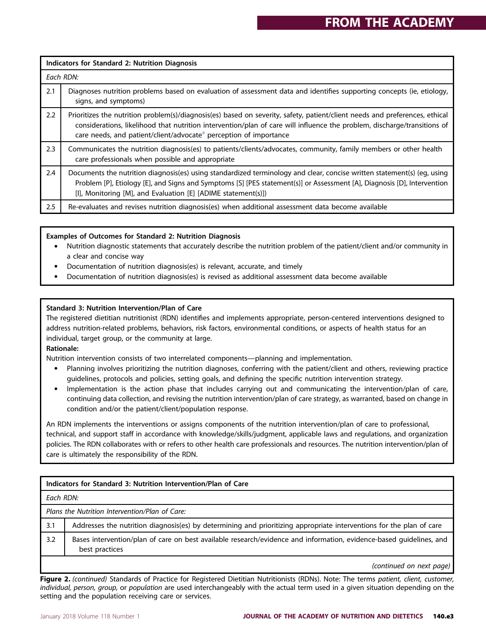|     | Indicators for Standard 2: Nutrition Diagnosis                                                                                                                                                                                                                                                                                           |  |  |
|-----|------------------------------------------------------------------------------------------------------------------------------------------------------------------------------------------------------------------------------------------------------------------------------------------------------------------------------------------|--|--|
|     | Each RDN:                                                                                                                                                                                                                                                                                                                                |  |  |
| 2.1 | Diagnoses nutrition problems based on evaluation of assessment data and identifies supporting concepts (ie, etiology,<br>signs, and symptoms)                                                                                                                                                                                            |  |  |
| 2.2 | Prioritizes the nutrition problem(s)/diagnosis(es) based on severity, safety, patient/client needs and preferences, ethical<br>considerations, likelihood that nutrition intervention/plan of care will influence the problem, discharge/transitions of<br>care needs, and patient/client/advocate <sup>a</sup> perception of importance |  |  |
| 2.3 | Communicates the nutrition diagnosis(es) to patients/clients/advocates, community, family members or other health<br>care professionals when possible and appropriate                                                                                                                                                                    |  |  |
| 2.4 | Documents the nutrition diagnosis(es) using standardized terminology and clear, concise written statement(s) (eq, using<br>Problem [P], Etiology [E], and Signs and Symptoms [S] [PES statement(s)] or Assessment [A], Diagnosis [D], Intervention<br>[I], Monitoring [M], and Evaluation [E] [ADIME statement(s)])                      |  |  |
| 2.5 | Re-evaluates and revises nutrition diagnosis(es) when additional assessment data become available                                                                                                                                                                                                                                        |  |  |

### Examples of Outcomes for Standard 2: Nutrition Diagnosis

- Nutrition diagnostic statements that accurately describe the nutrition problem of the patient/client and/or community in a clear and concise way
- Documentation of nutrition diagnosis(es) is relevant, accurate, and timely
- Documentation of nutrition diagnosis(es) is revised as additional assessment data become available

### Standard 3: Nutrition Intervention/Plan of Care

The registered dietitian nutritionist (RDN) identifies and implements appropriate, person-centered interventions designed to address nutrition-related problems, behaviors, risk factors, environmental conditions, or aspects of health status for an individual, target group, or the community at large.

### Rationale:

Nutrition intervention consists of two interrelated components—planning and implementation.

- Planning involves prioritizing the nutrition diagnoses, conferring with the patient/client and others, reviewing practice guidelines, protocols and policies, setting goals, and defining the specific nutrition intervention strategy.
- Implementation is the action phase that includes carrying out and communicating the intervention/plan of care, continuing data collection, and revising the nutrition intervention/plan of care strategy, as warranted, based on change in condition and/or the patient/client/population response.

An RDN implements the interventions or assigns components of the nutrition intervention/plan of care to professional, technical, and support staff in accordance with knowledge/skills/judgment, applicable laws and regulations, and organization policies. The RDN collaborates with or refers to other health care professionals and resources. The nutrition intervention/plan of care is ultimately the responsibility of the RDN.

|     | Indicators for Standard 3: Nutrition Intervention/Plan of Care                                                                        |  |  |
|-----|---------------------------------------------------------------------------------------------------------------------------------------|--|--|
|     | Each RDN:                                                                                                                             |  |  |
|     | Plans the Nutrition Intervention/Plan of Care:                                                                                        |  |  |
| 3.1 | Addresses the nutrition diagnosis(es) by determining and prioritizing appropriate interventions for the plan of care                  |  |  |
| 3.2 | Bases intervention/plan of care on best available research/evidence and information, evidence-based quidelines, and<br>best practices |  |  |
|     | (continued on next page)                                                                                                              |  |  |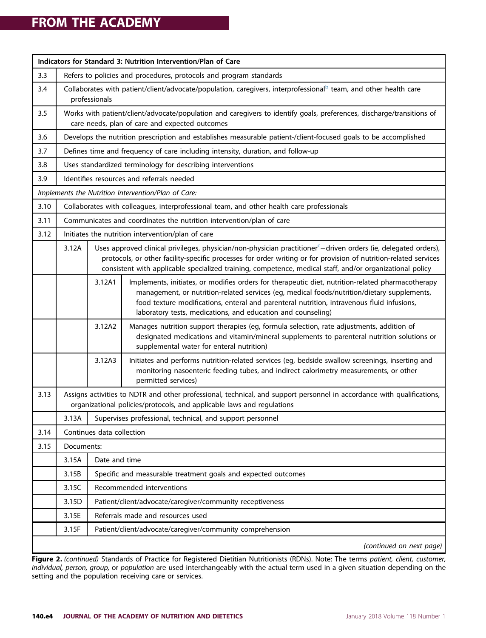|      |                                                                                                                                                                                                  |               | Indicators for Standard 3: Nutrition Intervention/Plan of Care                                                                                                                                                                                                                                                                                                 |
|------|--------------------------------------------------------------------------------------------------------------------------------------------------------------------------------------------------|---------------|----------------------------------------------------------------------------------------------------------------------------------------------------------------------------------------------------------------------------------------------------------------------------------------------------------------------------------------------------------------|
| 3.3  |                                                                                                                                                                                                  |               | Refers to policies and procedures, protocols and program standards                                                                                                                                                                                                                                                                                             |
| 3.4  |                                                                                                                                                                                                  | professionals | Collaborates with patient/client/advocate/population, caregivers, interprofessional <sup>b</sup> team, and other health care                                                                                                                                                                                                                                   |
| 3.5  |                                                                                                                                                                                                  |               | Works with patient/client/advocate/population and caregivers to identify goals, preferences, discharge/transitions of<br>care needs, plan of care and expected outcomes                                                                                                                                                                                        |
| 3.6  |                                                                                                                                                                                                  |               | Develops the nutrition prescription and establishes measurable patient-/client-focused goals to be accomplished                                                                                                                                                                                                                                                |
| 3.7  |                                                                                                                                                                                                  |               | Defines time and frequency of care including intensity, duration, and follow-up                                                                                                                                                                                                                                                                                |
| 3.8  |                                                                                                                                                                                                  |               | Uses standardized terminology for describing interventions                                                                                                                                                                                                                                                                                                     |
| 3.9  |                                                                                                                                                                                                  |               | Identifies resources and referrals needed                                                                                                                                                                                                                                                                                                                      |
|      |                                                                                                                                                                                                  |               | Implements the Nutrition Intervention/Plan of Care:                                                                                                                                                                                                                                                                                                            |
| 3.10 |                                                                                                                                                                                                  |               | Collaborates with colleagues, interprofessional team, and other health care professionals                                                                                                                                                                                                                                                                      |
| 3.11 |                                                                                                                                                                                                  |               | Communicates and coordinates the nutrition intervention/plan of care                                                                                                                                                                                                                                                                                           |
| 3.12 |                                                                                                                                                                                                  |               | Initiates the nutrition intervention/plan of care                                                                                                                                                                                                                                                                                                              |
|      | 3.12A                                                                                                                                                                                            |               | Uses approved clinical privileges, physician/non-physician practitioner <sup>c</sup> -driven orders (ie, delegated orders),<br>protocols, or other facility-specific processes for order writing or for provision of nutrition-related services<br>consistent with applicable specialized training, competence, medical staff, and/or organizational policy    |
|      |                                                                                                                                                                                                  | 3.12A1        | Implements, initiates, or modifies orders for therapeutic diet, nutrition-related pharmacotherapy<br>management, or nutrition-related services (eg, medical foods/nutrition/dietary supplements,<br>food texture modifications, enteral and parenteral nutrition, intravenous fluid infusions,<br>laboratory tests, medications, and education and counseling) |
|      |                                                                                                                                                                                                  | 3.12A2        | Manages nutrition support therapies (eg, formula selection, rate adjustments, addition of<br>designated medications and vitamin/mineral supplements to parenteral nutrition solutions or<br>supplemental water for enteral nutrition)                                                                                                                          |
|      |                                                                                                                                                                                                  | 3.12A3        | Initiates and performs nutrition-related services (eg, bedside swallow screenings, inserting and<br>monitoring nasoenteric feeding tubes, and indirect calorimetry measurements, or other<br>permitted services)                                                                                                                                               |
| 3.13 | Assigns activities to NDTR and other professional, technical, and support personnel in accordance with qualifications,<br>organizational policies/protocols, and applicable laws and regulations |               |                                                                                                                                                                                                                                                                                                                                                                |
|      | 3.13A                                                                                                                                                                                            |               | Supervises professional, technical, and support personnel                                                                                                                                                                                                                                                                                                      |
| 3.14 | Continues data collection                                                                                                                                                                        |               |                                                                                                                                                                                                                                                                                                                                                                |
| 3.15 | Documents:                                                                                                                                                                                       |               |                                                                                                                                                                                                                                                                                                                                                                |
|      | 3.15A                                                                                                                                                                                            | Date and time |                                                                                                                                                                                                                                                                                                                                                                |
|      | 3.15B                                                                                                                                                                                            |               | Specific and measurable treatment goals and expected outcomes                                                                                                                                                                                                                                                                                                  |
|      | 3.15C                                                                                                                                                                                            |               | Recommended interventions                                                                                                                                                                                                                                                                                                                                      |
|      | 3.15D                                                                                                                                                                                            |               | Patient/client/advocate/caregiver/community receptiveness                                                                                                                                                                                                                                                                                                      |
|      | 3.15E                                                                                                                                                                                            |               | Referrals made and resources used                                                                                                                                                                                                                                                                                                                              |
|      | 3.15F                                                                                                                                                                                            |               | Patient/client/advocate/caregiver/community comprehension                                                                                                                                                                                                                                                                                                      |
|      |                                                                                                                                                                                                  |               | (continued on next page)                                                                                                                                                                                                                                                                                                                                       |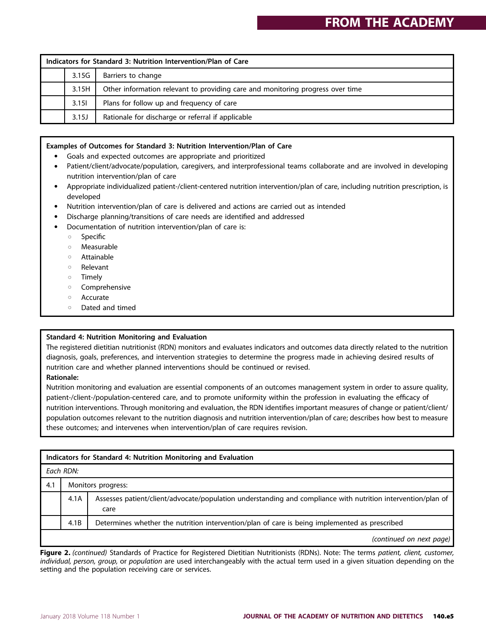| Indicators for Standard 3: Nutrition Intervention/Plan of Care |       |                                                                                |
|----------------------------------------------------------------|-------|--------------------------------------------------------------------------------|
|                                                                | 3.15G | Barriers to change                                                             |
|                                                                | 3.15H | Other information relevant to providing care and monitoring progress over time |
|                                                                | 3.151 | Plans for follow up and frequency of care                                      |
|                                                                | 3.15J | Rationale for discharge or referral if applicable                              |

### Examples of Outcomes for Standard 3: Nutrition Intervention/Plan of Care

- Goals and expected outcomes are appropriate and prioritized
- Patient/client/advocate/population, caregivers, and interprofessional teams collaborate and are involved in developing nutrition intervention/plan of care
- Appropriate individualized patient-/client-centered nutrition intervention/plan of care, including nutrition prescription, is developed
- Nutrition intervention/plan of care is delivered and actions are carried out as intended
- Discharge planning/transitions of care needs are identified and addressed
- Documentation of nutrition intervention/plan of care is:
	- $\circ$  Specific
	- o Measurable
	- o Attainable
	- o Relevant
	- o Timely
	- <sup>o</sup> Comprehensive
	- $\circ$  Accurate
	- $\circ$  Dated and timed

### Standard 4: Nutrition Monitoring and Evaluation

The registered dietitian nutritionist (RDN) monitors and evaluates indicators and outcomes data directly related to the nutrition diagnosis, goals, preferences, and intervention strategies to determine the progress made in achieving desired results of nutrition care and whether planned interventions should be continued or revised.

### Rationale:

Nutrition monitoring and evaluation are essential components of an outcomes management system in order to assure quality, patient-/client-/population-centered care, and to promote uniformity within the profession in evaluating the efficacy of nutrition interventions. Through monitoring and evaluation, the RDN identifies important measures of change or patient/client/ population outcomes relevant to the nutrition diagnosis and nutrition intervention/plan of care; describes how best to measure these outcomes; and intervenes when intervention/plan of care requires revision.

|     | Indicators for Standard 4: Nutrition Monitoring and Evaluation |                                                                                                                      |  |
|-----|----------------------------------------------------------------|----------------------------------------------------------------------------------------------------------------------|--|
|     | Each RDN:                                                      |                                                                                                                      |  |
| 4.1 | Monitors progress:                                             |                                                                                                                      |  |
|     | 4.1A                                                           | Assesses patient/client/advocate/population understanding and compliance with nutrition intervention/plan of<br>care |  |
|     | 4.1B                                                           | Determines whether the nutrition intervention/plan of care is being implemented as prescribed                        |  |
|     |                                                                | (continued on next page)                                                                                             |  |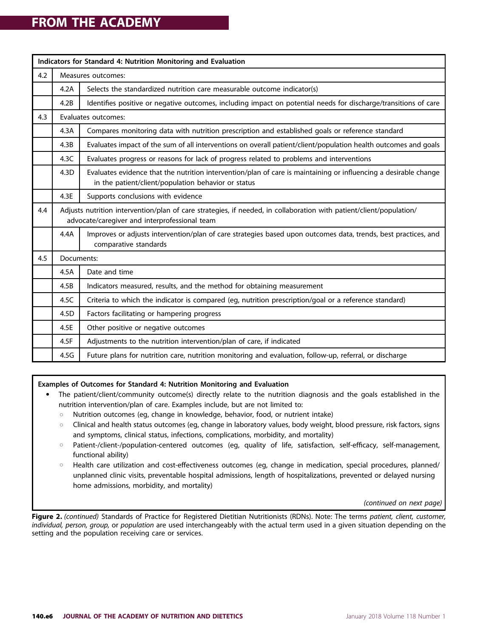|     | Indicators for Standard 4: Nutrition Monitoring and Evaluation |                                                                                                                                                                         |  |  |
|-----|----------------------------------------------------------------|-------------------------------------------------------------------------------------------------------------------------------------------------------------------------|--|--|
| 4.2 |                                                                | Measures outcomes:                                                                                                                                                      |  |  |
|     | 4.2A                                                           | Selects the standardized nutrition care measurable outcome indicator(s)                                                                                                 |  |  |
|     | 4.2B                                                           | Identifies positive or negative outcomes, including impact on potential needs for discharge/transitions of care                                                         |  |  |
| 4.3 |                                                                | Evaluates outcomes:                                                                                                                                                     |  |  |
|     | 4.3A                                                           | Compares monitoring data with nutrition prescription and established goals or reference standard                                                                        |  |  |
|     | 4.3B                                                           | Evaluates impact of the sum of all interventions on overall patient/client/population health outcomes and goals                                                         |  |  |
|     | 4.3C                                                           | Evaluates progress or reasons for lack of progress related to problems and interventions                                                                                |  |  |
|     | 4.3D                                                           | Evaluates evidence that the nutrition intervention/plan of care is maintaining or influencing a desirable change<br>in the patient/client/population behavior or status |  |  |
|     | 4.3E                                                           | Supports conclusions with evidence                                                                                                                                      |  |  |
| 4.4 |                                                                | Adjusts nutrition intervention/plan of care strategies, if needed, in collaboration with patient/client/population/<br>advocate/caregiver and interprofessional team    |  |  |
|     | 4.4A                                                           | Improves or adjusts intervention/plan of care strategies based upon outcomes data, trends, best practices, and<br>comparative standards                                 |  |  |
| 4.5 |                                                                | Documents:                                                                                                                                                              |  |  |
|     | 4.5A                                                           | Date and time                                                                                                                                                           |  |  |
|     | 4.5B                                                           | Indicators measured, results, and the method for obtaining measurement                                                                                                  |  |  |
|     | 4.5C                                                           | Criteria to which the indicator is compared (eg, nutrition prescription/goal or a reference standard)                                                                   |  |  |
|     | 4.5D                                                           | Factors facilitating or hampering progress                                                                                                                              |  |  |
|     | 4.5E                                                           | Other positive or negative outcomes                                                                                                                                     |  |  |
|     | 4.5F                                                           | Adjustments to the nutrition intervention/plan of care, if indicated                                                                                                    |  |  |
|     | 4.5G                                                           | Future plans for nutrition care, nutrition monitoring and evaluation, follow-up, referral, or discharge                                                                 |  |  |

### Examples of Outcomes for Standard 4: Nutrition Monitoring and Evaluation

- The patient/client/community outcome(s) directly relate to the nutrition diagnosis and the goals established in the nutrition intervention/plan of care. Examples include, but are not limited to:
	- $\circ$  Nutrition outcomes (eg, change in knowledge, behavior, food, or nutrient intake)
	- $\circ$  Clinical and health status outcomes (eg, change in laboratory values, body weight, blood pressure, risk factors, signs and symptoms, clinical status, infections, complications, morbidity, and mortality)
	- <sup>B</sup> Patient-/client-/population-centered outcomes (eg, quality of life, satisfaction, self-efficacy, self-management, functional ability)
	- $\circ$  Health care utilization and cost-effectiveness outcomes (eg, change in medication, special procedures, planned/ unplanned clinic visits, preventable hospital admissions, length of hospitalizations, prevented or delayed nursing home admissions, morbidity, and mortality)

(continued on next page)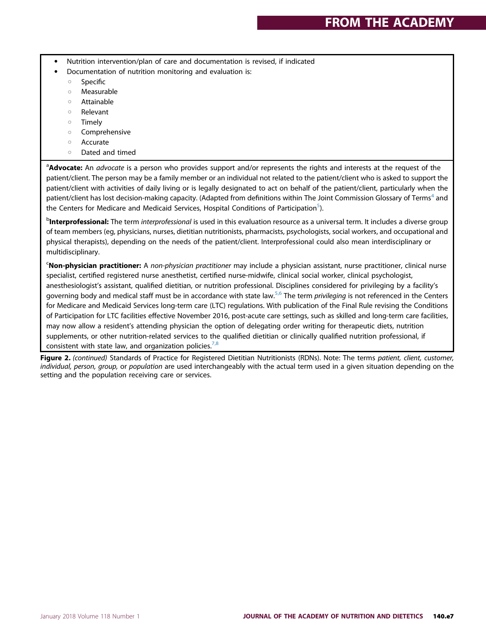- Nutrition intervention/plan of care and documentation is revised, if indicated
	- Documentation of nutrition monitoring and evaluation is:
		- $\circ$  Specific
		- o Measurable
		- **Attainable**
		- $\circ$  Relevant
		- **o** Timely
		- **Comprehensive**
		- $\circ$  Accurate
		- $\circ$  Dated and timed

<sup>a</sup>**Advocate:** An advocate is a person who provides support and/or represents the rights and interests at the request of the patient/client. The person may be a family member or an individual not related to the patient/client who is asked to support the patient/client with activities of daily living or is legally designated to act on behalf of the patient/client, particularly when the patient/client has lost decision-making capacity. (Adapted from definitions within The Joint Commission Glossary of Terms<sup>4</sup> and the Centers for Medicare and Medicaid Services, Hospital Conditions of Participation $^5$ ).

b**Interprofessional:** The term *interprofessional* is used in this evaluation resource as a universal term. It includes a diverse group of team members (eg, physicians, nurses, dietitian nutritionists, pharmacists, psychologists, social workers, and occupational and physical therapists), depending on the needs of the patient/client. Interprofessional could also mean interdisciplinary or multidisciplinary.

<sup>c</sup>Non-physician practitioner: A non-physician practitioner may include a physician assistant, nurse practitioner, clinical nurse specialist, certified registered nurse anesthetist, certified nurse-midwife, clinical social worker, clinical psychologist, anesthesiologist's assistant, qualified dietitian, or nutrition professional. Disciplines considered for privileging by a facility's governing body and medical staff must be in accordance with state law.<sup>5,6</sup> The term *privileging* is not referenced in the Centers for Medicare and Medicaid Services long-term care (LTC) regulations. With publication of the Final Rule revising the Conditions of Participation for LTC facilities effective November 2016, post-acute care settings, such as skilled and long-term care facilities, may now allow a resident's attending physician the option of delegating order writing for therapeutic diets, nutrition supplements, or other nutrition-related services to the qualified dietitian or clinically qualified nutrition professional, if consistent with state law, and organization policies.<sup>7,8</sup>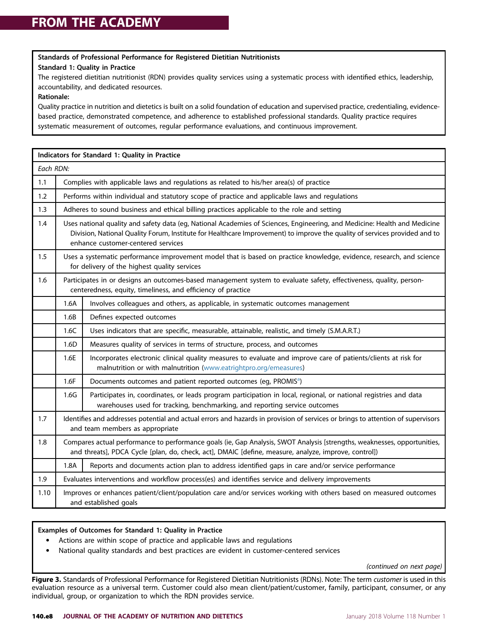### Standards of Professional Performance for Registered Dietitian Nutritionists

### Standard 1: Quality in Practice

The registered dietitian nutritionist (RDN) provides quality services using a systematic process with identified ethics, leadership, accountability, and dedicated resources.

### Rationale:

Quality practice in nutrition and dietetics is built on a solid foundation of education and supervised practice, credentialing, evidencebased practice, demonstrated competence, and adherence to established professional standards. Quality practice requires systematic measurement of outcomes, regular performance evaluations, and continuous improvement.

|           |                                                                                                                                                                                                                                  | Indicators for Standard 1: Quality in Practice                                                                                                                                                                                                                                                |  |
|-----------|----------------------------------------------------------------------------------------------------------------------------------------------------------------------------------------------------------------------------------|-----------------------------------------------------------------------------------------------------------------------------------------------------------------------------------------------------------------------------------------------------------------------------------------------|--|
| Each RDN: |                                                                                                                                                                                                                                  |                                                                                                                                                                                                                                                                                               |  |
| 1.1       | Complies with applicable laws and regulations as related to his/her area(s) of practice                                                                                                                                          |                                                                                                                                                                                                                                                                                               |  |
| 1.2       |                                                                                                                                                                                                                                  | Performs within individual and statutory scope of practice and applicable laws and regulations                                                                                                                                                                                                |  |
| 1.3       |                                                                                                                                                                                                                                  | Adheres to sound business and ethical billing practices applicable to the role and setting                                                                                                                                                                                                    |  |
| 1.4       |                                                                                                                                                                                                                                  | Uses national quality and safety data (eg, National Academies of Sciences, Engineering, and Medicine: Health and Medicine<br>Division, National Quality Forum, Institute for Healthcare Improvement) to improve the quality of services provided and to<br>enhance customer-centered services |  |
| 1.5       |                                                                                                                                                                                                                                  | Uses a systematic performance improvement model that is based on practice knowledge, evidence, research, and science<br>for delivery of the highest quality services                                                                                                                          |  |
| 1.6       |                                                                                                                                                                                                                                  | Participates in or designs an outcomes-based management system to evaluate safety, effectiveness, quality, person-<br>centeredness, equity, timeliness, and efficiency of practice                                                                                                            |  |
|           | 1.6A                                                                                                                                                                                                                             | Involves colleagues and others, as applicable, in systematic outcomes management                                                                                                                                                                                                              |  |
|           | 1.6B                                                                                                                                                                                                                             | Defines expected outcomes                                                                                                                                                                                                                                                                     |  |
|           | 1.6C                                                                                                                                                                                                                             | Uses indicators that are specific, measurable, attainable, realistic, and timely (S.M.A.R.T.)                                                                                                                                                                                                 |  |
|           | 1.6D                                                                                                                                                                                                                             | Measures quality of services in terms of structure, process, and outcomes                                                                                                                                                                                                                     |  |
|           | 1.6E                                                                                                                                                                                                                             | Incorporates electronic clinical quality measures to evaluate and improve care of patients/clients at risk for<br>malnutrition or with malnutrition (www.eatrightpro.org/emeasures)                                                                                                           |  |
|           | Documents outcomes and patient reported outcomes (eg, PROMIS <sup>a</sup> )<br>1.6F                                                                                                                                              |                                                                                                                                                                                                                                                                                               |  |
|           | 1.6G                                                                                                                                                                                                                             | Participates in, coordinates, or leads program participation in local, regional, or national registries and data<br>warehouses used for tracking, benchmarking, and reporting service outcomes                                                                                                |  |
| 1.7       | Identifies and addresses potential and actual errors and hazards in provision of services or brings to attention of supervisors<br>and team members as appropriate                                                               |                                                                                                                                                                                                                                                                                               |  |
| 1.8       | Compares actual performance to performance goals (ie, Gap Analysis, SWOT Analysis [strengths, weaknesses, opportunities,<br>and threats], PDCA Cycle [plan, do, check, act], DMAIC [define, measure, analyze, improve, control]) |                                                                                                                                                                                                                                                                                               |  |
|           | 1.8A                                                                                                                                                                                                                             | Reports and documents action plan to address identified gaps in care and/or service performance                                                                                                                                                                                               |  |
| 1.9       |                                                                                                                                                                                                                                  | Evaluates interventions and workflow process(es) and identifies service and delivery improvements                                                                                                                                                                                             |  |
| 1.10      | Improves or enhances patient/client/population care and/or services working with others based on measured outcomes<br>and established goals                                                                                      |                                                                                                                                                                                                                                                                                               |  |

### Examples of Outcomes for Standard 1: Quality in Practice

- Actions are within scope of practice and applicable laws and regulations
- National quality standards and best practices are evident in customer-centered services

(continued on next page)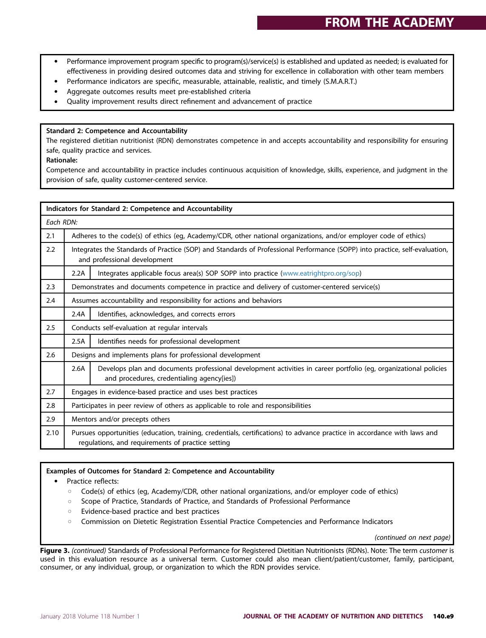- Performance improvement program specific to program(s)/service(s) is established and updated as needed; is evaluated for effectiveness in providing desired outcomes data and striving for excellence in collaboration with other team members
- Performance indicators are specific, measurable, attainable, realistic, and timely (S.M.A.R.T.)
- Aggregate outcomes results meet pre-established criteria
- Quality improvement results direct refinement and advancement of practice

### Standard 2: Competence and Accountability

The registered dietitian nutritionist (RDN) demonstrates competence in and accepts accountability and responsibility for ensuring safe, quality practice and services.

### Rationale:

Competence and accountability in practice includes continuous acquisition of knowledge, skills, experience, and judgment in the provision of safe, quality customer-centered service.

|      |                                                                                                                                                                               | Indicators for Standard 2: Competence and Accountability                                                                                                       |  |
|------|-------------------------------------------------------------------------------------------------------------------------------------------------------------------------------|----------------------------------------------------------------------------------------------------------------------------------------------------------------|--|
|      | Each RDN:                                                                                                                                                                     |                                                                                                                                                                |  |
| 2.1  | Adheres to the code(s) of ethics (eg, Academy/CDR, other national organizations, and/or employer code of ethics)                                                              |                                                                                                                                                                |  |
| 2.2  |                                                                                                                                                                               | Integrates the Standards of Practice (SOP) and Standards of Professional Performance (SOPP) into practice, self-evaluation,<br>and professional development    |  |
|      | 2.2A                                                                                                                                                                          | Integrates applicable focus area(s) SOP SOPP into practice (www.eatrightpro.org/sop)                                                                           |  |
| 2.3  |                                                                                                                                                                               | Demonstrates and documents competence in practice and delivery of customer-centered service(s)                                                                 |  |
| 2.4  | Assumes accountability and responsibility for actions and behaviors                                                                                                           |                                                                                                                                                                |  |
|      | 2.4A                                                                                                                                                                          | Identifies, acknowledges, and corrects errors                                                                                                                  |  |
| 2.5  | Conducts self-evaluation at regular intervals                                                                                                                                 |                                                                                                                                                                |  |
|      | 2.5A                                                                                                                                                                          | Identifies needs for professional development                                                                                                                  |  |
| 2.6  | Designs and implements plans for professional development                                                                                                                     |                                                                                                                                                                |  |
|      | 2.6A                                                                                                                                                                          | Develops plan and documents professional development activities in career portfolio (eg, organizational policies<br>and procedures, credentialing agency[ies]) |  |
| 2.7  | Engages in evidence-based practice and uses best practices                                                                                                                    |                                                                                                                                                                |  |
| 2.8  | Participates in peer review of others as applicable to role and responsibilities                                                                                              |                                                                                                                                                                |  |
| 2.9  | Mentors and/or precepts others                                                                                                                                                |                                                                                                                                                                |  |
| 2.10 | Pursues opportunities (education, training, credentials, certifications) to advance practice in accordance with laws and<br>regulations, and requirements of practice setting |                                                                                                                                                                |  |

### Examples of Outcomes for Standard 2: Competence and Accountability

- Practice reflects:
	- $\circ$  Code(s) of ethics (eg, Academy/CDR, other national organizations, and/or employer code of ethics)
	- o Scope of Practice, Standards of Practice, and Standards of Professional Performance
	- o Evidence-based practice and best practices
	- o Commission on Dietetic Registration Essential Practice Competencies and Performance Indicators

(continued on next page)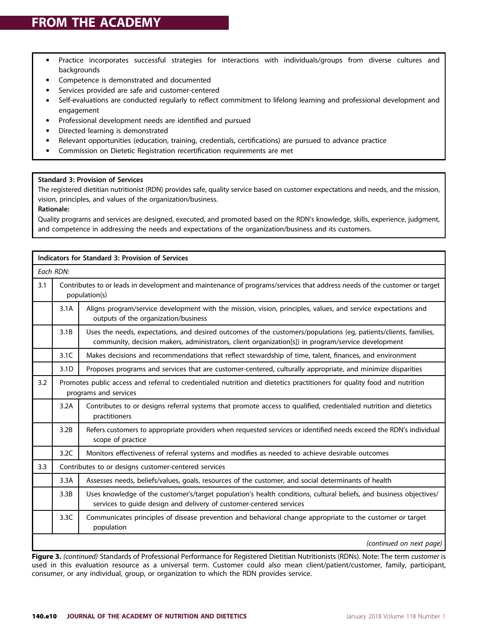- Practice incorporates successful strategies for interactions with individuals/groups from diverse cultures and backgrounds
- Competence is demonstrated and documented
- Services provided are safe and customer-centered
- Self-evaluations are conducted regularly to reflect commitment to lifelong learning and professional development and engagement
- Professional development needs are identified and pursued
- Directed learning is demonstrated
- Relevant opportunities (education, training, credentials, certifications) are pursued to advance practice
- Commission on Dietetic Registration recertification requirements are met

### Standard 3: Provision of Services

The registered dietitian nutritionist (RDN) provides safe, quality service based on customer expectations and needs, and the mission, vision, principles, and values of the organization/business.

Rationale:

Quality programs and services are designed, executed, and promoted based on the RDN's knowledge, skills, experience, judgment, and competence in addressing the needs and expectations of the organization/business and its customers.

|     | Indicators for Standard 3: Provision of Services                                                                                                  |                                                                                                                                                                                                                        |  |
|-----|---------------------------------------------------------------------------------------------------------------------------------------------------|------------------------------------------------------------------------------------------------------------------------------------------------------------------------------------------------------------------------|--|
|     | Each RDN:                                                                                                                                         |                                                                                                                                                                                                                        |  |
| 3.1 | Contributes to or leads in development and maintenance of programs/services that address needs of the customer or target<br>population(s)         |                                                                                                                                                                                                                        |  |
|     | 3.1A                                                                                                                                              | Aligns program/service development with the mission, vision, principles, values, and service expectations and<br>outputs of the organization/business                                                                  |  |
|     | 3.1B                                                                                                                                              | Uses the needs, expectations, and desired outcomes of the customers/populations (eg, patients/clients, families,<br>community, decision makers, administrators, client organization[s]) in program/service development |  |
|     | 3.1C                                                                                                                                              | Makes decisions and recommendations that reflect stewardship of time, talent, finances, and environment                                                                                                                |  |
|     | 3.1D                                                                                                                                              | Proposes programs and services that are customer-centered, culturally appropriate, and minimize disparities                                                                                                            |  |
| 3.2 | Promotes public access and referral to credentialed nutrition and dietetics practitioners for quality food and nutrition<br>programs and services |                                                                                                                                                                                                                        |  |
|     | 3.2A                                                                                                                                              | Contributes to or designs referral systems that promote access to qualified, credentialed nutrition and dietetics<br>practitioners                                                                                     |  |
|     | 3.2B                                                                                                                                              | Refers customers to appropriate providers when requested services or identified needs exceed the RDN's individual<br>scope of practice                                                                                 |  |
|     | 3.2C                                                                                                                                              | Monitors effectiveness of referral systems and modifies as needed to achieve desirable outcomes                                                                                                                        |  |
| 3.3 |                                                                                                                                                   | Contributes to or designs customer-centered services                                                                                                                                                                   |  |
|     | 3.3A                                                                                                                                              | Assesses needs, beliefs/values, goals, resources of the customer, and social determinants of health                                                                                                                    |  |
|     | 3.3B                                                                                                                                              | Uses knowledge of the customer's/target population's health conditions, cultural beliefs, and business objectives/<br>services to guide design and delivery of customer-centered services                              |  |
|     | 3.3C                                                                                                                                              | Communicates principles of disease prevention and behavioral change appropriate to the customer or target<br>population                                                                                                |  |
|     |                                                                                                                                                   | (continued on next page)                                                                                                                                                                                               |  |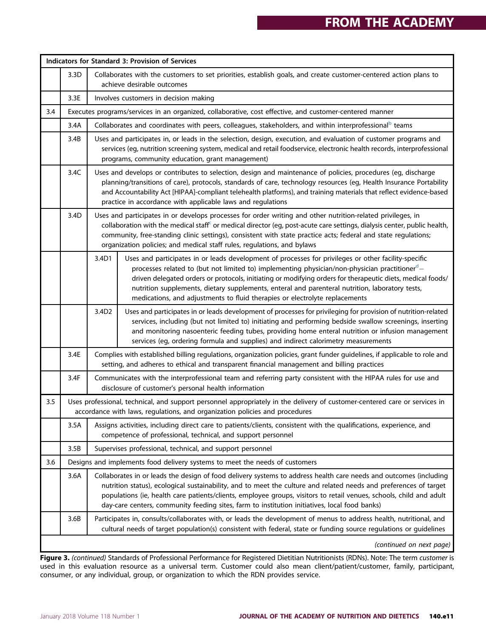|     |      | Indicators for Standard 3: Provision of Services                                                                                                                                                                                                                                                                                                                                                                                                                                                                   |
|-----|------|--------------------------------------------------------------------------------------------------------------------------------------------------------------------------------------------------------------------------------------------------------------------------------------------------------------------------------------------------------------------------------------------------------------------------------------------------------------------------------------------------------------------|
|     | 3.3D | Collaborates with the customers to set priorities, establish goals, and create customer-centered action plans to<br>achieve desirable outcomes                                                                                                                                                                                                                                                                                                                                                                     |
|     | 3.3E | Involves customers in decision making                                                                                                                                                                                                                                                                                                                                                                                                                                                                              |
| 3.4 |      | Executes programs/services in an organized, collaborative, cost effective, and customer-centered manner                                                                                                                                                                                                                                                                                                                                                                                                            |
|     | 3.4A | Collaborates and coordinates with peers, colleagues, stakeholders, and within interprofessional <sup>b</sup> teams                                                                                                                                                                                                                                                                                                                                                                                                 |
|     | 3.4B | Uses and participates in, or leads in the selection, design, execution, and evaluation of customer programs and<br>services (eg, nutrition screening system, medical and retail foodservice, electronic health records, interprofessional<br>programs, community education, grant management)                                                                                                                                                                                                                      |
|     | 3.4C | Uses and develops or contributes to selection, design and maintenance of policies, procedures (eg, discharge<br>planning/transitions of care), protocols, standards of care, technology resources (eg, Health Insurance Portability<br>and Accountability Act [HIPAA]-compliant telehealth platforms), and training materials that reflect evidence-based<br>practice in accordance with applicable laws and regulations                                                                                           |
|     | 3.4D | Uses and participates in or develops processes for order writing and other nutrition-related privileges, in<br>collaboration with the medical staff <sup>c</sup> or medical director (eg, post-acute care settings, dialysis center, public health,<br>community, free-standing clinic settings), consistent with state practice acts; federal and state regulations;<br>organization policies; and medical staff rules, regulations, and bylaws                                                                   |
|     |      | 3.4D1<br>Uses and participates in or leads development of processes for privileges or other facility-specific<br>processes related to (but not limited to) implementing physician/non-physician practitioner $d$ -<br>driven delegated orders or protocols, initiating or modifying orders for therapeutic diets, medical foods/<br>nutrition supplements, dietary supplements, enteral and parenteral nutrition, laboratory tests,<br>medications, and adjustments to fluid therapies or electrolyte replacements |
|     |      | 3.4D2<br>Uses and participates in or leads development of processes for privileging for provision of nutrition-related<br>services, including (but not limited to) initiating and performing bedside swallow screenings, inserting<br>and monitoring nasoenteric feeding tubes, providing home enteral nutrition or infusion management<br>services (eg, ordering formula and supplies) and indirect calorimetry measurements                                                                                      |
|     | 3.4E | Complies with established billing regulations, organization policies, grant funder guidelines, if applicable to role and<br>setting, and adheres to ethical and transparent financial management and billing practices                                                                                                                                                                                                                                                                                             |
|     | 3.4F | Communicates with the interprofessional team and referring party consistent with the HIPAA rules for use and<br>disclosure of customer's personal health information                                                                                                                                                                                                                                                                                                                                               |
| 3.5 |      | Uses professional, technical, and support personnel appropriately in the delivery of customer-centered care or services in<br>accordance with laws, regulations, and organization policies and procedures                                                                                                                                                                                                                                                                                                          |
|     | 3.5A | Assigns activities, including direct care to patients/clients, consistent with the qualifications, experience, and<br>competence of professional, technical, and support personnel                                                                                                                                                                                                                                                                                                                                 |
|     | 3.5B | Supervises professional, technical, and support personnel                                                                                                                                                                                                                                                                                                                                                                                                                                                          |
| 3.6 |      | Designs and implements food delivery systems to meet the needs of customers                                                                                                                                                                                                                                                                                                                                                                                                                                        |
|     | 3.6A | Collaborates in or leads the design of food delivery systems to address health care needs and outcomes (including<br>nutrition status), ecological sustainability, and to meet the culture and related needs and preferences of target<br>populations (ie, health care patients/clients, employee groups, visitors to retail venues, schools, child and adult<br>day-care centers, community feeding sites, farm to institution initiatives, local food banks)                                                     |
|     | 3.6B | Participates in, consults/collaborates with, or leads the development of menus to address health, nutritional, and<br>cultural needs of target population(s) consistent with federal, state or funding source regulations or guidelines                                                                                                                                                                                                                                                                            |
|     |      | (continued on next page)                                                                                                                                                                                                                                                                                                                                                                                                                                                                                           |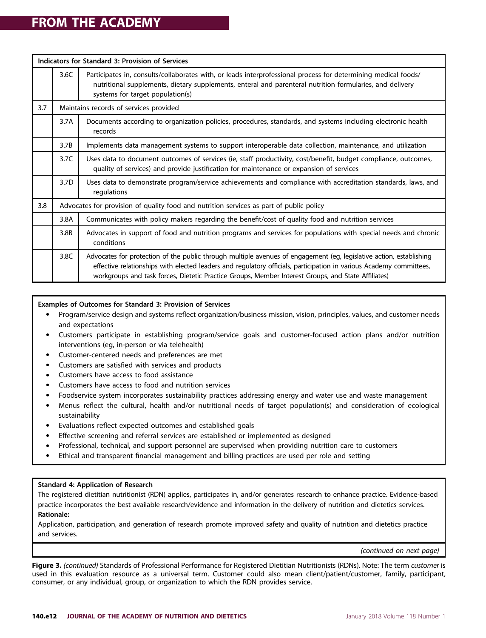|     | Indicators for Standard 3: Provision of Services                                        |                                                                                                                                                                                                                                                                                                                                                   |  |
|-----|-----------------------------------------------------------------------------------------|---------------------------------------------------------------------------------------------------------------------------------------------------------------------------------------------------------------------------------------------------------------------------------------------------------------------------------------------------|--|
|     | 3.6C                                                                                    | Participates in, consults/collaborates with, or leads interprofessional process for determining medical foods/<br>nutritional supplements, dietary supplements, enteral and parenteral nutrition formularies, and delivery<br>systems for target population(s)                                                                                    |  |
| 3.7 |                                                                                         | Maintains records of services provided                                                                                                                                                                                                                                                                                                            |  |
|     | 3.7A                                                                                    | Documents according to organization policies, procedures, standards, and systems including electronic health<br>records                                                                                                                                                                                                                           |  |
|     | 3.7B                                                                                    | Implements data management systems to support interoperable data collection, maintenance, and utilization                                                                                                                                                                                                                                         |  |
|     | 3.7C                                                                                    | Uses data to document outcomes of services (ie, staff productivity, cost/benefit, budget compliance, outcomes,<br>quality of services) and provide justification for maintenance or expansion of services                                                                                                                                         |  |
|     | 3.7D                                                                                    | Uses data to demonstrate program/service achievements and compliance with accreditation standards, laws, and<br>regulations                                                                                                                                                                                                                       |  |
| 3.8 | Advocates for provision of quality food and nutrition services as part of public policy |                                                                                                                                                                                                                                                                                                                                                   |  |
|     | 3.8A                                                                                    | Communicates with policy makers regarding the benefit/cost of quality food and nutrition services                                                                                                                                                                                                                                                 |  |
|     | 3.8B                                                                                    | Advocates in support of food and nutrition programs and services for populations with special needs and chronic<br>conditions                                                                                                                                                                                                                     |  |
|     | 3.8C                                                                                    | Advocates for protection of the public through multiple avenues of engagement (eg, legislative action, establishing<br>effective relationships with elected leaders and regulatory officials, participation in various Academy committees,<br>workgroups and task forces, Dietetic Practice Groups, Member Interest Groups, and State Affiliates) |  |

### Examples of Outcomes for Standard 3: Provision of Services

- Program/service design and systems reflect organization/business mission, vision, principles, values, and customer needs and expectations
- Customers participate in establishing program/service goals and customer-focused action plans and/or nutrition interventions (eg, in-person or via telehealth)
- Customer-centered needs and preferences are met
- Customers are satisfied with services and products
- Customers have access to food assistance
- Customers have access to food and nutrition services
- Foodservice system incorporates sustainability practices addressing energy and water use and waste management
- Menus reflect the cultural, health and/or nutritional needs of target population(s) and consideration of ecological sustainability
- Evaluations reflect expected outcomes and established goals
- Effective screening and referral services are established or implemented as designed
- Professional, technical, and support personnel are supervised when providing nutrition care to customers
- Ethical and transparent financial management and billing practices are used per role and setting

### Standard 4: Application of Research

The registered dietitian nutritionist (RDN) applies, participates in, and/or generates research to enhance practice. Evidence-based practice incorporates the best available research/evidence and information in the delivery of nutrition and dietetics services. Rationale:

Application, participation, and generation of research promote improved safety and quality of nutrition and dietetics practice and services.

(continued on next page)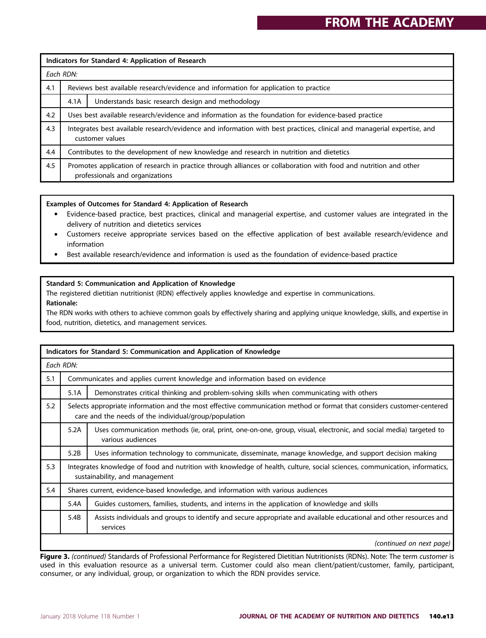| Indicators for Standard 4: Application of Research |                                                                                                                                                      |                                                   |  |
|----------------------------------------------------|------------------------------------------------------------------------------------------------------------------------------------------------------|---------------------------------------------------|--|
|                                                    | Each RDN:                                                                                                                                            |                                                   |  |
| 4.1                                                | Reviews best available research/evidence and information for application to practice                                                                 |                                                   |  |
|                                                    | 4.1A                                                                                                                                                 | Understands basic research design and methodology |  |
| 4.2                                                | Uses best available research/evidence and information as the foundation for evidence-based practice                                                  |                                                   |  |
| 4.3                                                | Integrates best available research/evidence and information with best practices, clinical and managerial expertise, and<br>customer values           |                                                   |  |
| 4.4                                                | Contributes to the development of new knowledge and research in nutrition and dietetics                                                              |                                                   |  |
| 4.5                                                | Promotes application of research in practice through alliances or collaboration with food and nutrition and other<br>professionals and organizations |                                                   |  |

### Examples of Outcomes for Standard 4: Application of Research

- Evidence-based practice, best practices, clinical and managerial expertise, and customer values are integrated in the delivery of nutrition and dietetics services
- Customers receive appropriate services based on the effective application of best available research/evidence and information
- Best available research/evidence and information is used as the foundation of evidence-based practice

### Standard 5: Communication and Application of Knowledge

The registered dietitian nutritionist (RDN) effectively applies knowledge and expertise in communications. Rationale:

The RDN works with others to achieve common goals by effectively sharing and applying unique knowledge, skills, and expertise in food, nutrition, dietetics, and management services.

| Indicators for Standard 5: Communication and Application of Knowledge |                                                                                                                                                                                 |                                                                                                                                        |
|-----------------------------------------------------------------------|---------------------------------------------------------------------------------------------------------------------------------------------------------------------------------|----------------------------------------------------------------------------------------------------------------------------------------|
| Each RDN:                                                             |                                                                                                                                                                                 |                                                                                                                                        |
| 5.1                                                                   | Communicates and applies current knowledge and information based on evidence                                                                                                    |                                                                                                                                        |
|                                                                       | 5.1A                                                                                                                                                                            | Demonstrates critical thinking and problem-solving skills when communicating with others                                               |
| 5.2                                                                   | Selects appropriate information and the most effective communication method or format that considers customer-centered<br>care and the needs of the individual/group/population |                                                                                                                                        |
|                                                                       | 5.2A                                                                                                                                                                            | Uses communication methods (ie, oral, print, one-on-one, group, visual, electronic, and social media) targeted to<br>various audiences |
|                                                                       | 5.2B                                                                                                                                                                            | Uses information technology to communicate, disseminate, manage knowledge, and support decision making                                 |
| 5.3                                                                   | Integrates knowledge of food and nutrition with knowledge of health, culture, social sciences, communication, informatics,<br>sustainability, and management                    |                                                                                                                                        |
| 5.4                                                                   | Shares current, evidence-based knowledge, and information with various audiences                                                                                                |                                                                                                                                        |
|                                                                       | 5.4A                                                                                                                                                                            | Guides customers, families, students, and interns in the application of knowledge and skills                                           |
|                                                                       | 5.4B                                                                                                                                                                            | Assists individuals and groups to identify and secure appropriate and available educational and other resources and<br>services        |
|                                                                       |                                                                                                                                                                                 | (continued on next page)                                                                                                               |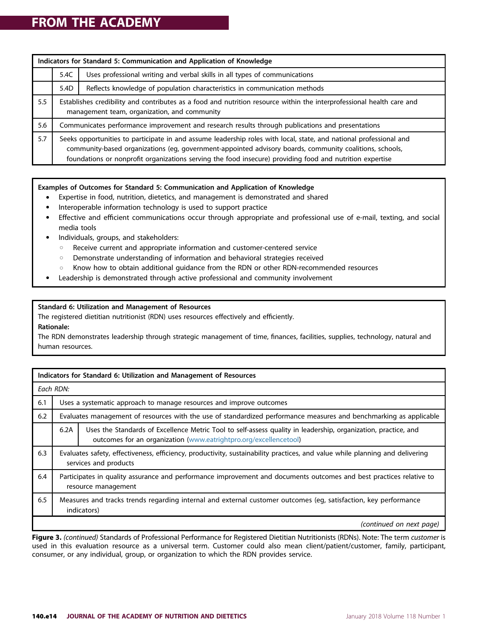| Indicators for Standard 5: Communication and Application of Knowledge |                                                                                                                                                                                                                                                                                                                                           |                                                                            |
|-----------------------------------------------------------------------|-------------------------------------------------------------------------------------------------------------------------------------------------------------------------------------------------------------------------------------------------------------------------------------------------------------------------------------------|----------------------------------------------------------------------------|
|                                                                       | 5.4C                                                                                                                                                                                                                                                                                                                                      | Uses professional writing and verbal skills in all types of communications |
|                                                                       | 5.4D                                                                                                                                                                                                                                                                                                                                      | Reflects knowledge of population characteristics in communication methods  |
| 5.5                                                                   | Establishes credibility and contributes as a food and nutrition resource within the interprofessional health care and<br>management team, organization, and community                                                                                                                                                                     |                                                                            |
| 5.6                                                                   | Communicates performance improvement and research results through publications and presentations                                                                                                                                                                                                                                          |                                                                            |
| 5.7                                                                   | Seeks opportunities to participate in and assume leadership roles with local, state, and national professional and<br>community-based organizations (eg, government-appointed advisory boards, community coalitions, schools,<br>foundations or nonprofit organizations serving the food insecure) providing food and nutrition expertise |                                                                            |

### Examples of Outcomes for Standard 5: Communication and Application of Knowledge

- Expertise in food, nutrition, dietetics, and management is demonstrated and shared
- Interoperable information technology is used to support practice
- Effective and efficient communications occur through appropriate and professional use of e-mail, texting, and social media tools
- Individuals, groups, and stakeholders:
	- o Receive current and appropriate information and customer-centered service
	- o Demonstrate understanding of information and behavioral strategies received
	- $\circ$  Know how to obtain additional guidance from the RDN or other RDN-recommended resources
- Leadership is demonstrated through active professional and community involvement

### Standard 6: Utilization and Management of Resources

The registered dietitian nutritionist (RDN) uses resources effectively and efficiently. Rationale:

The RDN demonstrates leadership through strategic management of time, finances, facilities, supplies, technology, natural and human resources.

| Indicators for Standard 6: Utilization and Management of Resources |                                                                                                                                                       |                                                                                                                                                                                     |  |
|--------------------------------------------------------------------|-------------------------------------------------------------------------------------------------------------------------------------------------------|-------------------------------------------------------------------------------------------------------------------------------------------------------------------------------------|--|
|                                                                    | Each RDN:                                                                                                                                             |                                                                                                                                                                                     |  |
| 6.1                                                                | Uses a systematic approach to manage resources and improve outcomes                                                                                   |                                                                                                                                                                                     |  |
| 6.2                                                                | Evaluates management of resources with the use of standardized performance measures and benchmarking as applicable                                    |                                                                                                                                                                                     |  |
|                                                                    | 6.2A                                                                                                                                                  | Uses the Standards of Excellence Metric Tool to self-assess quality in leadership, organization, practice, and<br>outcomes for an organization (www.eatrightpro.org/excellencetool) |  |
| 6.3                                                                | Evaluates safety, effectiveness, efficiency, productivity, sustainability practices, and value while planning and delivering<br>services and products |                                                                                                                                                                                     |  |
| 6.4                                                                | Participates in quality assurance and performance improvement and documents outcomes and best practices relative to<br>resource management            |                                                                                                                                                                                     |  |
| 6.5                                                                | Measures and tracks trends regarding internal and external customer outcomes (eg, satisfaction, key performance<br>indicators)                        |                                                                                                                                                                                     |  |
|                                                                    |                                                                                                                                                       | (continued on next page)                                                                                                                                                            |  |
|                                                                    |                                                                                                                                                       |                                                                                                                                                                                     |  |